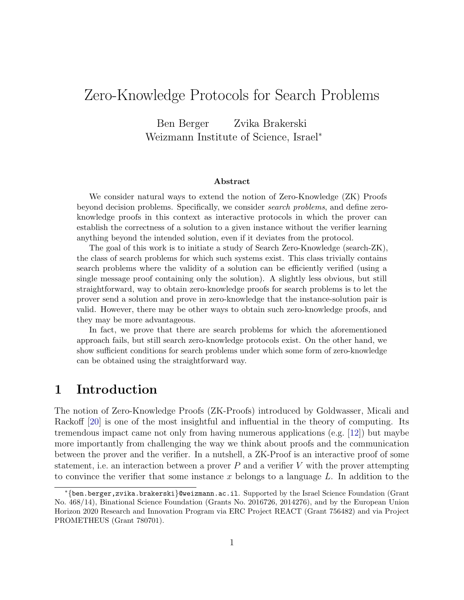# Zero-Knowledge Protocols for Search Problems

Ben Berger Zvika Brakerski Weizmann Institute of Science, Israel<sup>∗</sup>

#### Abstract

We consider natural ways to extend the notion of Zero-Knowledge (ZK) Proofs beyond decision problems. Specifically, we consider search problems, and define zeroknowledge proofs in this context as interactive protocols in which the prover can establish the correctness of a solution to a given instance without the verifier learning anything beyond the intended solution, even if it deviates from the protocol.

The goal of this work is to initiate a study of Search Zero-Knowledge (search-ZK), the class of search problems for which such systems exist. This class trivially contains search problems where the validity of a solution can be efficiently verified (using a single message proof containing only the solution). A slightly less obvious, but still straightforward, way to obtain zero-knowledge proofs for search problems is to let the prover send a solution and prove in zero-knowledge that the instance-solution pair is valid. However, there may be other ways to obtain such zero-knowledge proofs, and they may be more advantageous.

In fact, we prove that there are search problems for which the aforementioned approach fails, but still search zero-knowledge protocols exist. On the other hand, we show sufficient conditions for search problems under which some form of zero-knowledge can be obtained using the straightforward way.

### 1 Introduction

The notion of Zero-Knowledge Proofs (ZK-Proofs) introduced by Goldwasser, Micali and Rackoff [\[20\]](#page-30-0) is one of the most insightful and influential in the theory of computing. Its tremendous impact came not only from having numerous applications (e.g. [\[12\]](#page-30-1)) but maybe more importantly from challenging the way we think about proofs and the communication between the prover and the verifier. In a nutshell, a ZK-Proof is an interactive proof of some statement, i.e. an interaction between a prover  $P$  and a verifier  $V$  with the prover attempting to convince the verifier that some instance x belongs to a language  $L$ . In addition to the

<sup>∗</sup>{ben.berger,zvika.brakerski}@weizmann.ac.il. Supported by the Israel Science Foundation (Grant No. 468/14), Binational Science Foundation (Grants No. 2016726, 2014276), and by the European Union Horizon 2020 Research and Innovation Program via ERC Project REACT (Grant 756482) and via Project PROMETHEUS (Grant 780701).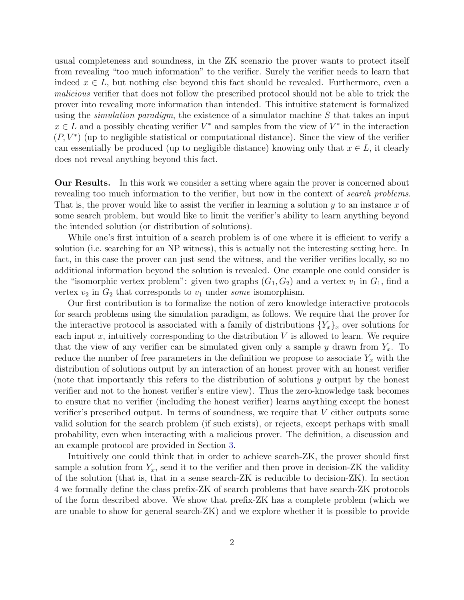usual completeness and soundness, in the ZK scenario the prover wants to protect itself from revealing "too much information" to the verifier. Surely the verifier needs to learn that indeed  $x \in L$ , but nothing else beyond this fact should be revealed. Furthermore, even a malicious verifier that does not follow the prescribed protocol should not be able to trick the prover into revealing more information than intended. This intuitive statement is formalized using the *simulation paradigm*, the existence of a simulator machine  $S$  that takes an input  $x \in L$  and a possibly cheating verifier  $V^*$  and samples from the view of  $V^*$  in the interaction  $(P, V^*)$  (up to negligible statistical or computational distance). Since the view of the verifier can essentially be produced (up to negligible distance) knowing only that  $x \in L$ , it clearly does not reveal anything beyond this fact.

Our Results. In this work we consider a setting where again the prover is concerned about revealing too much information to the verifier, but now in the context of *search problems*. That is, the prover would like to assist the verifier in learning a solution  $y$  to an instance x of some search problem, but would like to limit the verifier's ability to learn anything beyond the intended solution (or distribution of solutions).

While one's first intuition of a search problem is of one where it is efficient to verify a solution (i.e. searching for an NP witness), this is actually not the interesting setting here. In fact, in this case the prover can just send the witness, and the verifier verifies locally, so no additional information beyond the solution is revealed. One example one could consider is the "isomorphic vertex problem": given two graphs  $(G_1, G_2)$  and a vertex  $v_1$  in  $G_1$ , find a vertex  $v_2$  in  $G_2$  that corresponds to  $v_1$  under some isomorphism.

Our first contribution is to formalize the notion of zero knowledge interactive protocols for search problems using the simulation paradigm, as follows. We require that the prover for the interactive protocol is associated with a family of distributions  ${Y_x}_x$  over solutions for each input  $x$ , intuitively corresponding to the distribution  $V$  is allowed to learn. We require that the view of any verifier can be simulated given only a sample  $y$  drawn from  $Y_x$ . To reduce the number of free parameters in the definition we propose to associate  $Y_x$  with the distribution of solutions output by an interaction of an honest prover with an honest verifier (note that importantly this refers to the distribution of solutions y output by the honest verifier and not to the honest verifier's entire view). Thus the zero-knowledge task becomes to ensure that no verifier (including the honest verifier) learns anything except the honest verifier's prescribed output. In terms of soundness, we require that V either outputs some valid solution for the search problem (if such exists), or rejects, except perhaps with small probability, even when interacting with a malicious prover. The definition, a discussion and an example protocol are provided in Section [3.](#page-6-0)

Intuitively one could think that in order to achieve search-ZK, the prover should first sample a solution from  $Y_x$ , send it to the verifier and then prove in decision-ZK the validity of the solution (that is, that in a sense search-ZK is reducible to decision-ZK). In section 4 we formally define the class prefix-ZK of search problems that have search-ZK protocols of the form described above. We show that prefix-ZK has a complete problem (which we are unable to show for general search-ZK) and we explore whether it is possible to provide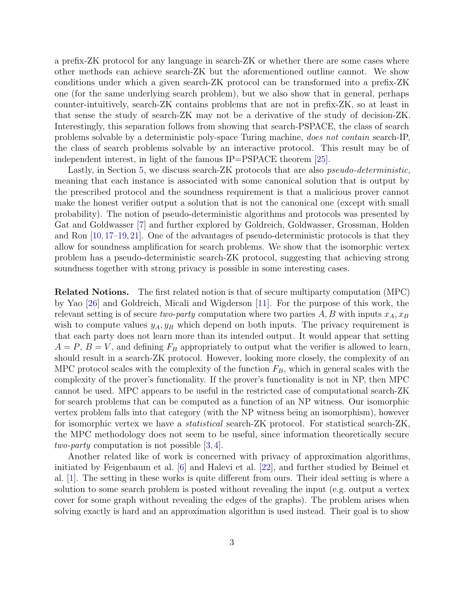a prefix-ZK protocol for any language in search-ZK or whether there are some cases where other methods can achieve search-ZK but the aforementioned outline cannot. We show conditions under which a given search-ZK protocol can be transformed into a prefix-ZK one (for the same underlying search problem), but we also show that in general, perhaps counter-intuitively, search-ZK contains problems that are not in prefix-ZK, so at least in that sense the study of search-ZK may not be a derivative of the study of decision-ZK. Interestingly, this separation follows from showing that search-PSPACE, the class of search problems solvable by a deterministic poly-space Turing machine, does not contain search-IP, the class of search problems solvable by an interactive protocol. This result may be of independent interest, in light of the famous IP=PSPACE theorem [\[25\]](#page-31-0).

Lastly, in Section [5,](#page-24-0) we discuss search-ZK protocols that are also *pseudo-deterministic*, meaning that each instance is associated with some canonical solution that is output by the prescribed protocol and the soundness requirement is that a malicious prover cannot make the honest verifier output a solution that is not the canonical one (except with small probability). The notion of pseudo-deterministic algorithms and protocols was presented by Gat and Goldwasser [\[7\]](#page-29-0) and further explored by Goldreich, Goldwasser, Grossman, Holden and Ron [\[10,](#page-29-1) [17–](#page-30-2)[19,](#page-30-3) [21\]](#page-31-1). One of the advantages of pseudo-deterministic protocols is that they allow for soundness amplification for search problems. We show that the isomorphic vertex problem has a pseudo-deterministic search-ZK protocol, suggesting that achieving strong soundness together with strong privacy is possible in some interesting cases.

Related Notions. The first related notion is that of secure multiparty computation (MPC) by Yao [\[26\]](#page-31-2) and Goldreich, Micali and Wigderson [\[11\]](#page-30-4). For the purpose of this work, the relevant setting is of secure two-party computation where two parties  $A, B$  with inputs  $x_A, x_B$ wish to compute values  $y_A, y_B$  which depend on both inputs. The privacy requirement is that each party does not learn more than its intended output. It would appear that setting  $A = P, B = V$ , and defining  $F_B$  appropriately to output what the verifier is allowed to learn, should result in a search-ZK protocol. However, looking more closely, the complexity of an MPC protocol scales with the complexity of the function  $F_B$ , which in general scales with the complexity of the prover's functionality. If the prover's functionality is not in NP, then MPC cannot be used. MPC appears to be useful in the restricted case of computational search-ZK for search problems that can be computed as a function of an NP witness. Our isomorphic vertex problem falls into that category (with the NP witness being an isomorphism), however for isomorphic vertex we have a statistical search-ZK protocol. For statistical search-ZK, the MPC methodology does not seem to be useful, since information theoretically secure two-party computation is not possible [\[3,](#page-29-2) [4\]](#page-29-3).

Another related like of work is concerned with privacy of approximation algorithms, initiated by Feigenbaum et al. [\[6\]](#page-29-4) and Halevi et al. [\[22\]](#page-31-3), and further studied by Beimel et al. [\[1\]](#page-29-5). The setting in these works is quite different from ours. Their ideal setting is where a solution to some search problem is posted without revealing the input (e.g. output a vertex cover for some graph without revealing the edges of the graphs). The problem arises when solving exactly is hard and an approximation algorithm is used instead. Their goal is to show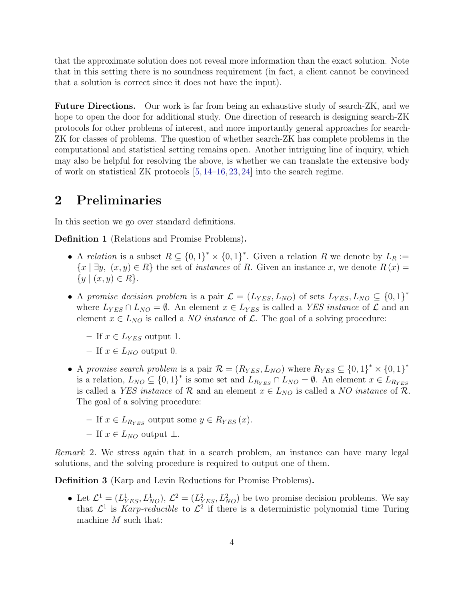that the approximate solution does not reveal more information than the exact solution. Note that in this setting there is no soundness requirement (in fact, a client cannot be convinced that a solution is correct since it does not have the input).

Future Directions. Our work is far from being an exhaustive study of search-ZK, and we hope to open the door for additional study. One direction of research is designing search-ZK protocols for other problems of interest, and more importantly general approaches for search-ZK for classes of problems. The question of whether search-ZK has complete problems in the computational and statistical setting remains open. Another intriguing line of inquiry, which may also be helpful for resolving the above, is whether we can translate the extensive body of work on statistical ZK protocols  $[5, 14–16, 23, 24]$  $[5, 14–16, 23, 24]$  $[5, 14–16, 23, 24]$  $[5, 14–16, 23, 24]$  $[5, 14–16, 23, 24]$  $[5, 14–16, 23, 24]$  $[5, 14–16, 23, 24]$  $[5, 14–16, 23, 24]$  into the search regime.

# 2 Preliminaries

In this section we go over standard definitions.

Definition 1 (Relations and Promise Problems).

- A relation is a subset  $R \subseteq \{0,1\}^* \times \{0,1\}^*$ . Given a relation R we denote by  $L_R :=$  ${x \mid \exists y, (x, y) \in R}$  the set of *instances* of R. Given an instance x, we denote  $R(x)$  $\{y \mid (x, y) \in R\}.$
- A promise decision problem is a pair  $\mathcal{L} = (L_{YES}, L_{NO})$  of sets  $L_{YES}, L_{NO} \subseteq \{0, 1\}^*$ where  $L_{YES} \cap L_{NO} = \emptyset$ . An element  $x \in L_{YES}$  is called a YES instance of  $\mathcal{L}$  and an element  $x \in L_{NO}$  is called a *NO* instance of  $\mathcal{L}$ . The goal of a solving procedure:
	- If  $x \in L_{YES}$  output 1.
	- If  $x \in L_{NO}$  output 0.
- A promise search problem is a pair  $\mathcal{R} = (R_{YES}, L_{NO})$  where  $R_{YES} \subseteq \{0, 1\}^* \times \{0, 1\}^*$ is a relation,  $L_{NO} \subseteq \{0,1\}^*$  is some set and  $L_{R_{YES}} \cap L_{NO} = \emptyset$ . An element  $x \in L_{R_{YES}}$ is called a *YES instance* of R and an element  $x \in L_{NO}$  is called a *NO* instance of R. The goal of a solving procedure:
	- If  $x \in L_{R_{YES}}$  output some  $y \in R_{YES}(x)$ .
	- If  $x \in L_{NO}$  output  $\perp$ .

Remark 2. We stress again that in a search problem, an instance can have many legal solutions, and the solving procedure is required to output one of them.

Definition 3 (Karp and Levin Reductions for Promise Problems).

• Let  $\mathcal{L}^1 = (L^1_{YES}, L^1_{NO}), \mathcal{L}^2 = (L^2_{YES}, L^2_{NO})$  be two promise decision problems. We say that  $\mathcal{L}^1$  is Karp-reducible to  $\mathcal{L}^2$  if there is a deterministic polynomial time Turing machine M such that: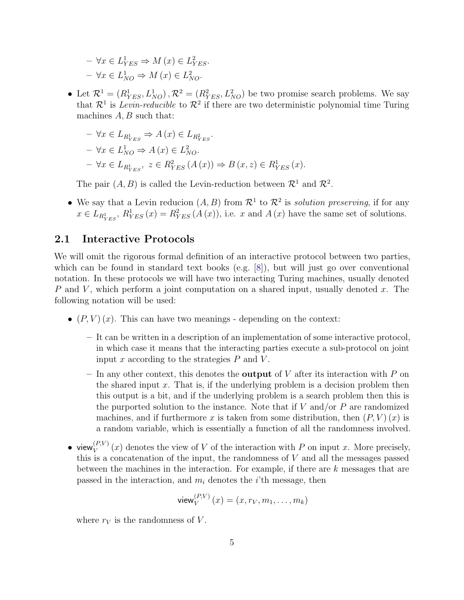- $\forall x \in L^1_{YES} \Rightarrow M(x) \in L^2_{YES}.$  $- \forall x \in L_{NO}^1 \Rightarrow M(x) \in L_{NO}^2$ .
- Let  $\mathcal{R}^1 = (R_{YES}^1, L_{NO}^1), \mathcal{R}^2 = (R_{YES}^2, L_{NO}^2)$  be two promise search problems. We say that  $\mathcal{R}^1$  is Levin-reducible to  $\mathcal{R}^2$  if there are two deterministic polynomial time Turing machines  $A, B$  such that:
	- $\forall x \in L_{R_{YES}^1} \Rightarrow A(x) \in L_{R_{YES}^2}.$  $- \forall x \in L_{NO}^1 \Rightarrow A(x) \in L_{NO}^2.$  $- \forall x \in L_{R_{YES}^1}, \ z \in R_{YES}^2(A(x)) \Rightarrow B(x, z) \in R_{YES}^1(x).$

The pair  $(A, B)$  is called the Levin-reduction between  $\mathcal{R}^1$  and  $\mathcal{R}^2$ .

• We say that a Levin reducion  $(A, B)$  from  $\mathcal{R}^1$  to  $\mathcal{R}^2$  is solution preserving, if for any  $x \in L_{R_{YES}^1}, R_{YES}^1(x) = R_{YES}^2(A(x)),$  i.e. x and  $A(x)$  have the same set of solutions.

### 2.1 Interactive Protocols

We will omit the rigorous formal definition of an interactive protocol between two parties, which can be found in standard text books (e.g. [\[8\]](#page-29-7)), but will just go over conventional notation. In these protocols we will have two interacting Turing machines, usually denoted P and V, which perform a joint computation on a shared input, usually denoted x. The following notation will be used:

- $(P, V)(x)$ . This can have two meanings depending on the context:
	- It can be written in a description of an implementation of some interactive protocol, in which case it means that the interacting parties execute a sub-protocol on joint input x according to the strategies  $P$  and  $V$ .
	- In any other context, this denotes the **output** of V after its interaction with P on the shared input  $x$ . That is, if the underlying problem is a decision problem then this output is a bit, and if the underlying problem is a search problem then this is the purported solution to the instance. Note that if  $V$  and/or  $P$  are randomized machines, and if furthermore x is taken from some distribution, then  $(P, V)(x)$  is a random variable, which is essentially a function of all the randomness involved.
- view $\binom{(P,V)}{V}(x)$  denotes the view of V of the interaction with P on input x. More precisely, this is a concatenation of the input, the randomness of  $V$  and all the messages passed between the machines in the interaction. For example, if there are k messages that are passed in the interaction, and  $m_i$  denotes the *i*'th message, then

$$
\mathsf{view}_V^{(P,V)}(x) = (x, r_V, m_1, \dots, m_k)
$$

where  $r_V$  is the randomness of V.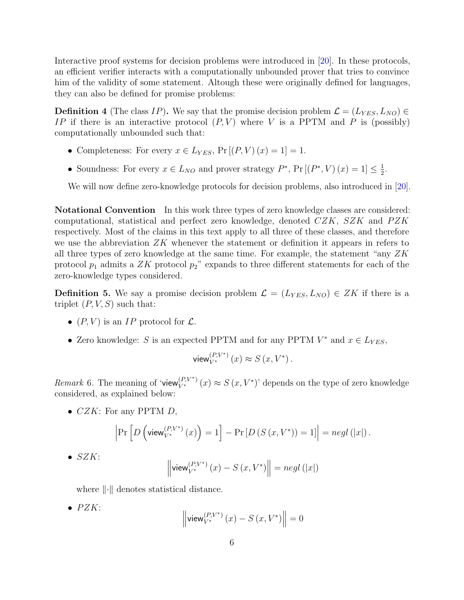Interactive proof systems for decision problems were introduced in [\[20\]](#page-30-0). In these protocols, an efficient verifier interacts with a computationally unbounded prover that tries to convince him of the validity of some statement. Altough these were originally defined for languages, they can also be defined for promise problems:

**Definition 4** (The class IP). We say that the promise decision problem  $\mathcal{L} = (L_{YES}, L_{NO}) \in$ IP if there is an interactive protocol  $(P, V)$  where V is a PPTM and P is (possibly) computationally unbounded such that:

- Completeness: For every  $x \in L_{YES}$ ,  $Pr[(P, V)(x) = 1] = 1$ .
- Soundness: For every  $x \in L_{NO}$  and prover strategy  $P^*$ ,  $Pr[(P^*, V)(x) = 1] \leq \frac{1}{2}$  $\frac{1}{2}$ .

We will now define zero-knowledge protocols for decision problems, also introduced in [\[20\]](#page-30-0).

Notational Convention In this work three types of zero knowledge classes are considered: computational, statistical and perfect zero knowledge, denoted  $CZK$ ,  $SZK$  and  $PZK$ respectively. Most of the claims in this text apply to all three of these classes, and therefore we use the abbreviation  $ZK$  whenever the statement or definition it appears in refers to all three types of zero knowledge at the same time. For example, the statement "any  $ZK$ protocol  $p_1$  admits a ZK protocol  $p_2$ " expands to three different statements for each of the zero-knowledge types considered.

**Definition 5.** We say a promise decision problem  $\mathcal{L} = (L_{YES}, L_{NO}) \in ZK$  if there is a triplet  $(P, V, S)$  such that:

- $(P, V)$  is an IP protocol for  $\mathcal{L}$ .
- Zero knowledge: S is an expected PPTM and for any PPTM  $V^*$  and  $x \in L_{YES}$ ,

$$
\mathrm{view}_{V^*}^{\left(P,V^*\right)}\left(x\right)\approx S\left(x,V^*\right).
$$

Remark 6. The meaning of 'view $_{V^*}^{(P,V^*)}(x) \approx S(x, V^*)$ ' depends on the type of zero knowledge considered, as explained below:

•  $CZK$ : For any PPTM D,

$$
\left| \Pr \left[ D \left( \mathsf{view}_{V^*}^{(P,V^*)} (x) \right) = 1 \right] - \Pr \left[ D \left( S \left( x, V^* \right) \right) = 1 \right] \right| = negl \left( |x| \right).
$$

$$
\bullet \ \ SZK \colon
$$

$$
\left\| \mathsf{view}_{V^*}^{(P,V^*)}(x) - S(x, V^*) \right\| = negl(|x|)
$$

where  $\lVert \cdot \rVert$  denotes statistical distance.

 $\bullet$  PZK:

$$
\left\| \text{view}_{V^*}^{(P,V^*)}\left( x\right) - S\left( x, V^*\right) \right\| = 0
$$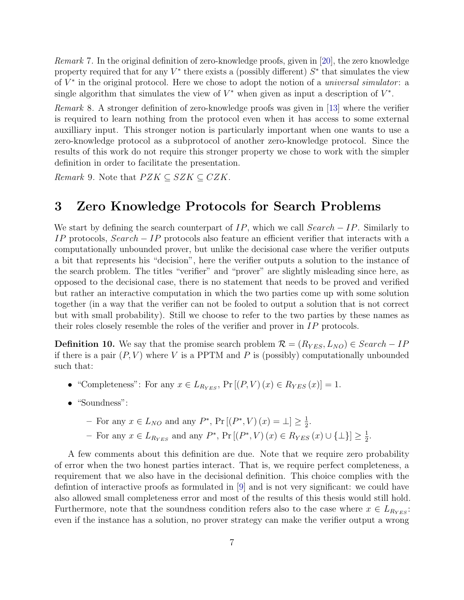Remark 7. In the original definition of zero-knowledge proofs, given in [\[20\]](#page-30-0), the zero knowledge property required that for any  $V^*$  there exists a (possibly different)  $S^*$  that simulates the view of  $V^*$  in the original protocol. Here we chose to adopt the notion of a *universal simulator*: a single algorithm that simulates the view of  $V^*$  when given as input a description of  $V^*$ .

Remark 8. A stronger definition of zero-knowledge proofs was given in [\[13\]](#page-30-7) where the verifier is required to learn nothing from the protocol even when it has access to some external auxilliary input. This stronger notion is particularly important when one wants to use a zero-knowledge protocol as a subprotocol of another zero-knowledge protocol. Since the results of this work do not require this stronger property we chose to work with the simpler definition in order to facilitate the presentation.

*Remark* 9. Note that  $PZK \subset SZK \subset CZK$ .

# <span id="page-6-0"></span>3 Zero Knowledge Protocols for Search Problems

We start by defining the search counterpart of  $IP$ , which we call  $Search - IP$ . Similarly to IP protocols,  $Search - IP$  protocols also feature an efficient verifier that interacts with a computationally unbounded prover, but unlike the decisional case where the verifier outputs a bit that represents his "decision", here the verifier outputs a solution to the instance of the search problem. The titles "verifier" and "prover" are slightly misleading since here, as opposed to the decisional case, there is no statement that needs to be proved and verified but rather an interactive computation in which the two parties come up with some solution together (in a way that the verifier can not be fooled to output a solution that is not correct but with small probability). Still we choose to refer to the two parties by these names as their roles closely resemble the roles of the verifier and prover in IP protocols.

**Definition 10.** We say that the promise search problem  $\mathcal{R} = (R_{YES}, L_{NO}) \in Search - IP$ if there is a pair  $(P, V)$  where V is a PPTM and P is (possibly) computationally unbounded such that:

- "Completeness": For any  $x \in L_{R_{YES}}$ ,  $Pr[(P, V)(x) \in R_{YES}(x)] = 1$ .
- "Soundness":

- For any 
$$
x \in L_{NO}
$$
 and any  $P^*$ , Pr  $[(P^*, V)(x) = \perp] \ge \frac{1}{2}$ .  
- For any  $x \in L_{R_{YES}}$  and any  $P^*$ , Pr  $[(P^*, V)(x) \in R_{YES}(x) \cup \{\perp\}] \ge \frac{1}{2}$ 

.

A few comments about this definition are due. Note that we require zero probability of error when the two honest parties interact. That is, we require perfect completeness, a requirement that we also have in the decisional definition. This choice complies with the defintion of interactive proofs as formulated in [\[9\]](#page-29-8) and is not very significant: we could have also allowed small completeness error and most of the results of this thesis would still hold. Furthermore, note that the soundness condition refers also to the case where  $x \in L_{R_{YES}}$ : even if the instance has a solution, no prover strategy can make the verifier output a wrong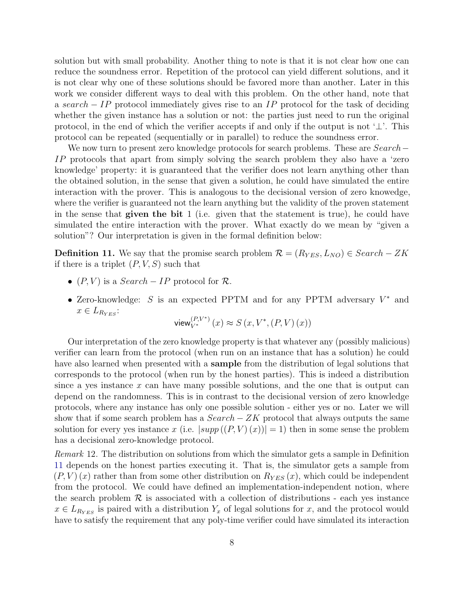solution but with small probability. Another thing to note is that it is not clear how one can reduce the soundness error. Repetition of the protocol can yield different solutions, and it is not clear why one of these solutions should be favored more than another. Later in this work we consider different ways to deal with this problem. On the other hand, note that a search  $-IP$  protocol immediately gives rise to an  $IP$  protocol for the task of deciding whether the given instance has a solution or not: the parties just need to run the original protocol, in the end of which the verifier accepts if and only if the output is not  $\perp$ . This protocol can be repeated (sequentially or in parallel) to reduce the soundness error.

We now turn to present zero knowledge protocols for search problems. These are *Search* – IP protocols that apart from simply solving the search problem they also have a 'zero knowledge' property: it is guaranteed that the verifier does not learn anything other than the obtained solution, in the sense that given a solution, he could have simulated the entire interaction with the prover. This is analogous to the decisional version of zero knowedge, where the verifier is guaranteed not the learn anything but the validity of the proven statement in the sense that given the bit 1 (i.e. given that the statement is true), he could have simulated the entire interaction with the prover. What exactly do we mean by "given a solution"? Our interpretation is given in the formal definition below:

<span id="page-7-0"></span>**Definition 11.** We say that the promise search problem  $\mathcal{R} = (R_{YES}, L_{NO}) \in Search - ZK$ if there is a triplet  $(P, V, S)$  such that

- $(P, V)$  is a Search IP protocol for R.
- Zero-knowledge:  $S$  is an expected PPTM and for any PPTM adversary  $V^*$  and  $x \in L_{R_{YES}}$ :

$$
\mathsf{view}_{V^*}^{\left(P, V^*\right)}\left(x\right) \approx S\left(x, V^*, \left(P, V\right)(x)\right)
$$

Our interpretation of the zero knowledge property is that whatever any (possibly malicious) verifier can learn from the protocol (when run on an instance that has a solution) he could have also learned when presented with a sample from the distribution of legal solutions that corresponds to the protocol (when run by the honest parties). This is indeed a distribution since a yes instance  $x$  can have many possible solutions, and the one that is output can depend on the randomness. This is in contrast to the decisional version of zero knowledge protocols, where any instance has only one possible solution - either yes or no. Later we will show that if some search problem has a  $Search - ZK$  protocol that always outputs the same solution for every yes instance x (i.e.  $|supp((P, V)(x))| = 1$ ) then in some sense the problem has a decisional zero-knowledge protocol.

<span id="page-7-1"></span>Remark 12. The distribution on solutions from which the simulator gets a sample in Definition [11](#page-7-0) depends on the honest parties executing it. That is, the simulator gets a sample from  $(P, V)(x)$  rather than from some other distribution on  $R_{YES}(x)$ , which could be independent from the protocol. We could have defined an implementation-independent notion, where the search problem  $\mathcal R$  is associated with a collection of distributions - each yes instance  $x \in L_{R_{YES}}$  is paired with a distribution  $Y_x$  of legal solutions for x, and the protocol would have to satisfy the requirement that any poly-time verifier could have simulated its interaction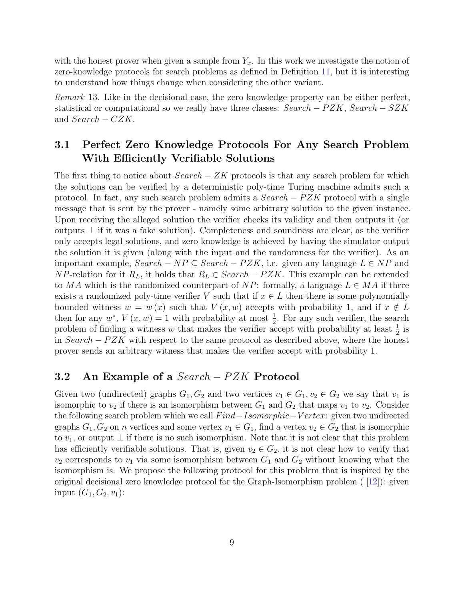with the honest prover when given a sample from  $Y_x$ . In this work we investigate the notion of zero-knowledge protocols for search problems as defined in Definition [11,](#page-7-0) but it is interesting to understand how things change when considering the other variant.

Remark 13. Like in the decisional case, the zero knowledge property can be either perfect, statistical or computational so we really have three classes:  $Search - PZK$ ,  $Search - SZK$ and  $Search - CZK$ .

### 3.1 Perfect Zero Knowledge Protocols For Any Search Problem With Efficiently Verifiable Solutions

The first thing to notice about  $Search - ZK$  protocols is that any search problem for which the solutions can be verified by a deterministic poly-time Turing machine admits such a protocol. In fact, any such search problem admits a  $Search - PZK$  protocol with a single message that is sent by the prover - namely some arbitrary solution to the given instance. Upon receiving the alleged solution the verifier checks its validity and then outputs it (or outputs  $\perp$  if it was a fake solution). Completeness and soundness are clear, as the verifier only accepts legal solutions, and zero knowledge is achieved by having the simulator output the solution it is given (along with the input and the randomness for the verifier). As an important example,  $Search - NP \subseteq Search - PZK$ , i.e. given any language  $L \in NP$  and NP-relation for it  $R_L$ , it holds that  $R_L \in Search - PZK$ . This example can be extended to MA which is the randomized counterpart of NP: formally, a language  $L \in MA$  if there exists a randomized poly-time verifier V such that if  $x \in L$  then there is some polynomially bounded witness  $w = w(x)$  such that  $V(x, w)$  accepts with probability 1, and if  $x \notin L$ then for any  $w^*$ ,  $V(x, w) = 1$  with probability at most  $\frac{1}{2}$ . For any such verifier, the search problem of finding a witness w that makes the verifier accept with probability at least  $\frac{1}{2}$  is in  $Search - PZK$  with respect to the same protocol as described above, where the honest prover sends an arbitrary witness that makes the verifier accept with probability 1.

### 3.2 An Example of a Search – PZK Protocol

Given two (undirected) graphs  $G_1, G_2$  and two vertices  $v_1 \in G_1, v_2 \in G_2$  we say that  $v_1$  is isomorphic to  $v_2$  if there is an isomorphism between  $G_1$  and  $G_2$  that maps  $v_1$  to  $v_2$ . Consider the following search problem which we call  $Find-Isomorphic-Vertex$ : given two undirected graphs  $G_1, G_2$  on *n* vertices and some vertex  $v_1 \in G_1$ , find a vertex  $v_2 \in G_2$  that is isomorphic to  $v_1$ , or output  $\perp$  if there is no such isomorphism. Note that it is not clear that this problem has efficiently verifiable solutions. That is, given  $v_2 \in G_2$ , it is not clear how to verify that  $v_2$  corresponds to  $v_1$  via some isomorphism between  $G_1$  and  $G_2$  without knowing what the isomorphism is. We propose the following protocol for this problem that is inspired by the original decisional zero knowledge protocol for the Graph-Isomorphism problem ( [\[12\]](#page-30-1)): given input  $(G_1, G_2, v_1)$ :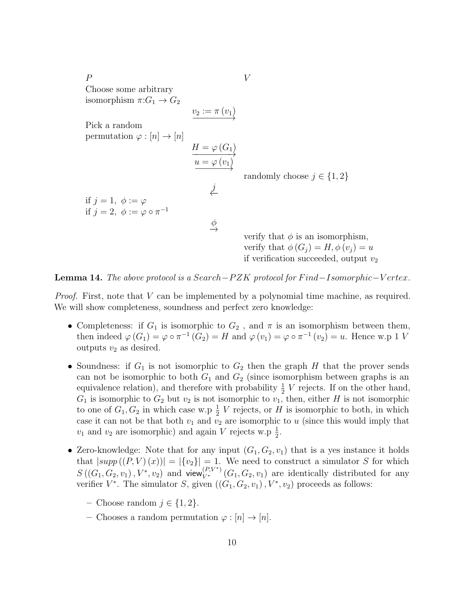$P$   $V$ Choose some arbitrary isomorphism  $\pi:G_1\to G_2$  $v_2 := \pi (v_1)$ Pick a random permutation  $\varphi : [n] \to [n]$  $H = \varphi(G_1)$  $u = \varphi(v_1)$ randomly choose  $j \in \{1, 2\}$  $\frac{j}{\left(1-\frac{1}{2}\right)}$ if  $j = 1, \phi := \varphi$ if  $j = 2, \phi := \varphi \circ \pi^{-1}$ φ  $\stackrel{\varphi}{\rightarrow}$ verify that  $\phi$  is an isomorphism, verify that  $\phi(G_i) = H, \phi(v_i) = u$ if verification succeeded, output  $v_2$ 

**Lemma 14.** The above protocol is a Search–PZK protocol for Find–Isomorphic–Vertex.

Proof. First, note that V can be implemented by a polynomial time machine, as required. We will show completeness, soundness and perfect zero knowledge:

- Completeness: if  $G_1$  is isomorphic to  $G_2$ , and  $\pi$  is an isomorphism between them, then indeed  $\varphi(G_1) = \varphi \circ \pi^{-1}(G_2) = H$  and  $\varphi(v_1) = \varphi \circ \pi^{-1}(v_2) = u$ . Hence w.p 1 V outputs  $v_2$  as desired.
- Soundness: if  $G_1$  is not isomorphic to  $G_2$  then the graph H that the prover sends can not be isomorphic to both  $G_1$  and  $G_2$  (since isomorphism between graphs is an equivalence relation), and therefore with probability  $\frac{1}{2}$  V rejects. If on the other hand,  $G_1$  is isomorphic to  $G_2$  but  $v_2$  is not isomorphic to  $v_1$ , then, either H is not isomorphic to one of  $G_1, G_2$  in which case w.p  $\frac{1}{2}$  V rejects, or H is isomorphic to both, in which case it can not be that both  $v_1$  and  $v_2$  are isomorphic to u (since this would imply that  $v_1$  and  $v_2$  are isomorphic) and again V rejects w.p  $\frac{1}{2}$ .
- Zero-knowledge: Note that for any input  $(G_1, G_2, v_1)$  that is a yes instance it holds that  $|supp((P, V)(x))| = |\{v_2\}| = 1$ . We need to construct a simulator S for which  $S((G_1, G_2, v_1), V^*, v_2)$  and view $_{V^*}^{(P, V^*)}(G_1, G_2, v_1)$  are identically distributed for any verifier  $V^*$ . The simulator S, given  $((G_1, G_2, v_1), V^*, v_2)$  proceeds as follows:
	- Choose random  $j \in \{1, 2\}.$
	- Chooses a random permutation  $\varphi : [n] \to [n]$ .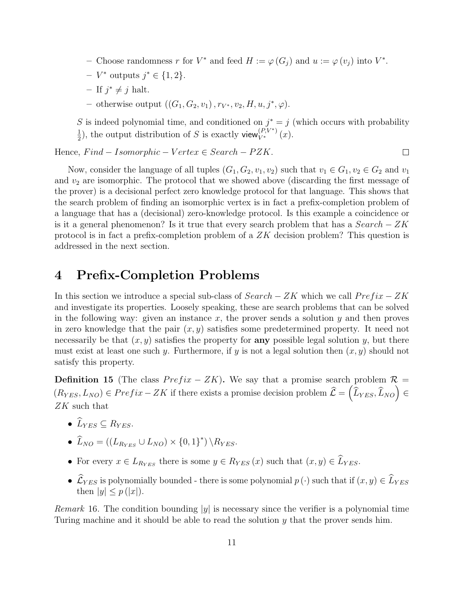- Choose randomness r for  $V^*$  and feed  $H := \varphi(G_j)$  and  $u := \varphi(v_j)$  into  $V^*$ .
- $V^*$  outputs  $j^*$  ∈ {1, 2}.
- $-$  If  $j^* \neq j$  halt.
- otherwise output  $((G_1, G_2, v_1), r_{V^*}, v_2, H, u, j^*, φ)$ .

S is indeed polynomial time, and conditioned on  $j^* = j$  (which occurs with probability 1  $\frac{1}{2}$ ), the output distribution of S is exactly view $\binom{P,V^*}{V^*}(x)$ .

 $\Box$ 

Hence,  $Find - Isomorphic - Vertex \in Search - PZK$ .

Now, consider the language of all tuples  $(G_1, G_2, v_1, v_2)$  such that  $v_1 \in G_1, v_2 \in G_2$  and  $v_1$ and  $v_2$  are isomorphic. The protocol that we showed above (discarding the first message of the prover) is a decisional perfect zero knowledge protocol for that language. This shows that the search problem of finding an isomorphic vertex is in fact a prefix-completion problem of a language that has a (decisional) zero-knowledge protocol. Is this example a coincidence or is it a general phenomenon? Is it true that every search problem that has a  $Search - ZK$ protocol is in fact a prefix-completion problem of a ZK decision problem? This question is addressed in the next section.

### 4 Prefix-Completion Problems

In this section we introduce a special sub-class of  $Search - ZK$  which we call  $Prefix - ZK$ and investigate its properties. Loosely speaking, these are search problems that can be solved in the following way: given an instance  $x$ , the prover sends a solution  $y$  and then proves in zero knowledge that the pair  $(x, y)$  satisfies some predetermined property. It need not necessarily be that  $(x, y)$  satisfies the property for any possible legal solution y, but there must exist at least one such y. Furthermore, if y is not a legal solution then  $(x, y)$  should not satisfy this property.

<span id="page-10-0"></span>**Definition 15** (The class  $Prefix - ZK)$ . We say that a promise search problem  $\mathcal{R} =$  $(R_{YES}, L_{NO}) \in Prefix - ZK$  if there exists a promise decision problem  $\hat{\mathcal{L}} = (\hat{L}_{YES}, \hat{L}_{NO}) \in$ ZK such that

- $\widehat{L}_{YES} \subset R_{YES}$ .
- $\widehat{L}_{NO} = ((L_{R_{YES}} \cup L_{NO}) \times \{0,1\}^*) \backslash R_{YES}.$
- For every  $x \in L_{R_{YES}}$  there is some  $y \in R_{YES}(x)$  such that  $(x, y) \in \widehat{L}_{YES}$ .
- $\hat{\mathcal{L}}_{YES}$  is polynomially bounded there is some polynomial  $p(\cdot)$  such that if  $(x, y) \in \hat{\mathcal{L}}_{YES}$ then  $|y| \leq p(|x|)$ .

*Remark* 16. The condition bounding  $|y|$  is necessary since the verifier is a polynomial time Turing machine and it should be able to read the solution  $y$  that the prover sends him.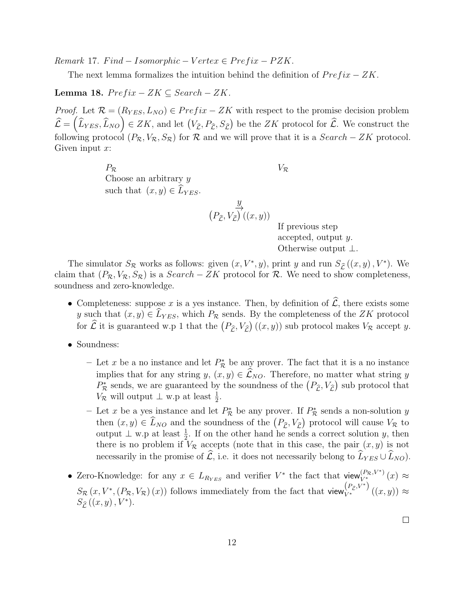$Remark 17. Find - Isomorphic - Vertex \in Prefix - PZK.$ 

The next lemma formalizes the intuition behind the definition of  $Prefix - ZK$ .

#### <span id="page-11-0"></span>Lemma 18. Prefix –  $ZK ⊂ Search - ZK$ .

*Proof.* Let  $\mathcal{R} = (R_{YES}, L_{NO}) \in Prefix - ZK$  with respect to the promise decision problem  $\hat{\mathcal{L}} = (\hat{L}_{YES}, \hat{L}_{NO}) \in ZK$ , and let  $(V_{\hat{\mathcal{L}}}, P_{\hat{\mathcal{L}}}, S_{\hat{\mathcal{L}}})$  be the  $ZK$  protocol for  $\hat{\mathcal{L}}$ . We construct the following protocol  $(P_{\mathcal{R}}, V_{\mathcal{R}}, S_{\mathcal{R}})$  for  $\mathcal{R}$  and we will prove that it is a  $Search - ZK$  protocol. Given input  $x$ :

> $P_{\mathcal{R}}$   $V_{\mathcal{R}}$ Choose an arbitrary y such that  $(x, y) \in \widehat{L}_{YES}.$  $\hat{y}$  $(P_{\widehat{\mathcal{L}}}, V_{\widehat{\mathcal{L}}})^{\overset{g}{\longrightarrow}}((x, y))$

If previous step accepted, output y. Otherwise output ⊥.

The simulator  $S_R$  works as follows: given  $(x, V^*, y)$ , print y and run  $S_{\mathcal{L}}((x, y), V^*)$ . We claim that  $(P_{\mathcal{R}}, V_{\mathcal{R}}, S_{\mathcal{R}})$  is a  $Search - ZK$  protocol for  $\mathcal{R}$ . We need to show completeness, soundness and zero-knowledge.

- Completeness: suppose x is a yes instance. Then, by definition of  $\widehat{\mathcal{L}}$ , there exists some y such that  $(x, y) \in \widehat{L}_{YES}$ , which  $P_{\mathcal{R}}$  sends. By the completeness of the ZK protocol for  $\hat{\mathcal{L}}$  it is guaranteed w.p 1 that the  $(P_{\hat{\mathcal{L}}}, V_{\hat{\mathcal{L}}})((x, y))$  sub protocol makes  $V_{\mathcal{R}}$  accept y.
- Soundness:
	- Let x be a no instance and let  $P_{\mathcal{R}}^*$  be any prover. The fact that it is a no instance implies that for any string  $y, (x, y) \in \widehat{\mathcal{L}}_{NO}$ . Therefore, no matter what string y  $P_{\mathcal{R}}^*$  sends, we are guaranteed by the soundness of the  $(P_{\hat{\mathcal{L}}}, V_{\hat{\mathcal{L}}})$  sub protocol that  $V_{\mathcal{R}}$  will output  $\perp$  w.p at least  $\frac{1}{2}$ .
	- − Let x be a yes instance and let  $P_{\mathcal{R}}^*$  be any prover. If  $P_{\mathcal{R}}^*$  sends a non-solution y then  $(x, y) \in \widehat{L}_{NO}$  and the soundness of the  $(P_{\widehat{\mathcal{L}}}, V_{\widehat{\mathcal{L}}})$  protocol will cause  $V_{\mathcal{R}}$  to output  $\perp$  w.p at least  $\frac{1}{2}$ . If on the other hand he sends a correct solution y, then there is no problem if  $V_R$  accepts (note that in this case, the pair  $(x, y)$  is not necessarily in the promise of  $\hat{\mathcal{L}}$ , i.e. it does not necessarily belong to  $\hat{L}_{YES} \cup \hat{L}_{NO}$ .
- Zero-Knowledge: for any  $x \in L_{R_{YES}}$  and verifier  $V^*$  the fact that  $\mathsf{view}_{V^*}^{(P_{\mathcal{R}},V^*)}(x) \approx$  $S_{\mathcal{R}}(x, V^*, (P_{\mathcal{R}}, V_{\mathcal{R}})(x))$  follows immediately from the fact that view $\big(\begin{matrix} P_{\hat{\mathcal{L}}}, V^* \end{matrix}\big)(x, y) \approx$  $S_{\widehat{\mathcal{L}}}((x, y), V^*)$ .

 $\Box$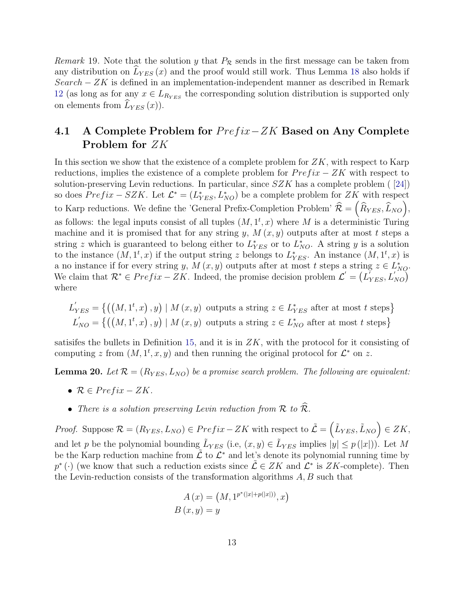Remark 19. Note that the solution y that  $P_{\mathcal{R}}$  sends in the first message can be taken from any distribution on  $L_{YES}(x)$  and the proof would still work. Thus Lemma [18](#page-11-0) also holds if  $Search - ZK$  is defined in an implementation-independent manner as described in Remark [12](#page-7-1) (as long as for any  $x \in L_{R_{YES}}$  the corresponding solution distribution is supported only on elements from  $\widehat{L}_{YES}(x)$ .

# 4.1 A Complete Problem for Prefix–ZK Based on Any Complete Problem for ZK

In this section we show that the existence of a complete problem for  $ZK$ , with respect to Karp reductions, implies the existence of a complete problem for  $Prefix - ZK$  with respect to solution-preserving Levin reductions. In particular, since  $SZK$  has a complete problem ( [\[24\]](#page-31-5)) so does  $Prefix - SZK$ . Let  $\mathcal{L}^* = (L_{YES}^*, L_{NO}^*)$  be a complete problem for  $ZK$  with respect to Karp reductions. We define the 'General Prefix-Completion Problem'  $\hat{\mathcal{R}} = (\hat{R}_{YES}, \hat{L}_{NO}),$ as follows: the legal inputs consist of all tuples  $(M, 1<sup>t</sup>, x)$  where M is a deterministic Turing machine and it is promised that for any string y,  $M(x, y)$  outputs after at most t steps a string z which is guaranteed to belong either to  $L^*_{YES}$  or to  $L^*_{NO}$ . A string y is a solution to the instance  $(M, 1^t, x)$  if the output string z belongs to  $L^*_{YES}$ . An instance  $(M, 1^t, x)$  is a no instance if for every string y,  $M(x, y)$  outputs after at most t steps a string  $z \in L_{NO}^*$ . We claim that  $\mathcal{R}^* \in Prefix - ZK$ . Indeed, the promise decision problem  $\mathcal{L}' = (L_{YES}^{\dagger}, L_{NO}^{\dagger})$ where

$$
L'_{YES} = \{ ((M, 1t, x), y) | M(x, y) \text{ outputs a string } z \in L^*_{YES} \text{ after at most } t \text{ steps} \}
$$
  

$$
L'_{NO} = \{ ((M, 1t, x), y) | M(x, y) \text{ outputs a string } z \in L^*_{NO} \text{ after at most } t \text{ steps} \}
$$

satisifes the bullets in Definition [15,](#page-10-0) and it is in  $ZK$ , with the protocol for it consisting of computing z from  $(M, 1^t, x, y)$  and then running the original protocol for  $\mathcal{L}^*$  on z.

**Lemma 20.** Let  $\mathcal{R} = (R_{YES}, L_{NO})$  be a promise search problem. The following are equivalent:

- $\mathcal{R} \in \text{Prefix} \text{ZK}.$
- There is a solution preserving Levin reduction from  $R$  to  $\widehat{\mathcal{R}}$ .

*Proof.* Suppose  $\mathcal{R} = (R_{YES}, L_{NO}) \in Prefix - ZK$  with respect to  $\tilde{\mathcal{L}} = (\tilde{L}_{YES}, \tilde{L}_{NO}) \in ZK$ , and let p be the polynomial bounding  $\tilde{L}_{YES}$  (i.e,  $(x,y) \in \tilde{L}_{YES}$  implies  $|y| \leq p(|x|)$ ). Let M be the Karp reduction machine from  $\tilde{\mathcal{L}}$  to  $\mathcal{L}^*$  and let's denote its polynomial running time by  $p^*(\cdot)$  (we know that such a reduction exists since  $\tilde{\mathcal{L}} \in ZK$  and  $\mathcal{L}^*$  is  $ZK$ -complete). Then the Levin-reduction consists of the transformation algorithms  $A, B$  such that

$$
A(x) = (M, 1^{p^*(|x| + p(|x|))}, x)
$$
  

$$
B(x, y) = y
$$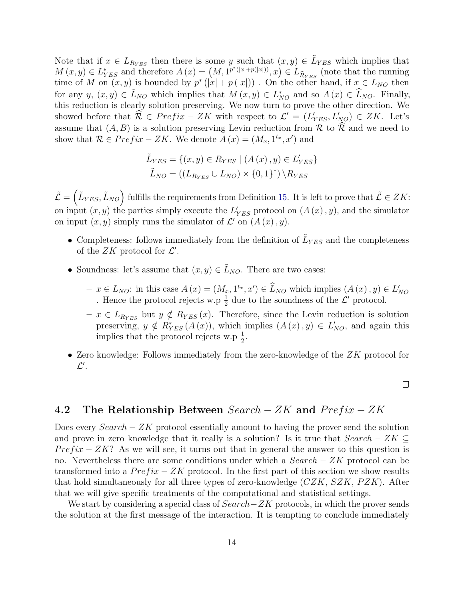Note that if  $x \in L_{R_{YES}}$  then there is some y such that  $(x, y) \in \tilde{L}_{YES}$  which implies that  $M(x,y) \in L^*_{YES}$  and therefore  $A(x) = (M, 1^{p^*(|x|+p(|x|)), x) \in L_{\widehat{R}_{YES}}$  (note that the running time of M on  $(x, y)$  is bounded by  $p^*(|x| + p(|x|))$ . On the other hand, if  $x \in L_{NO}$  then for any  $y, (x, y) \in \tilde{L}_{NO}$  which implies that  $M(x, y) \in L_{NO}^*$  and so  $A(x) \in \hat{L}_{NO}$ . Finally, this reduction is clearly solution preserving. We now turn to prove the other direction. We showed before that  $\hat{\mathcal{R}} \in \text{Prefix} - ZK$  with respect to  $\mathcal{L}' = (L'_{YES}, L'_{NO}) \in ZK$ . Let's assume that  $(A, B)$  is a solution preserving Levin reduction from R to R and we need to show that  $\mathcal{R} \in \text{Prefix} - ZK$ . We denote  $A(x) = (M_x, 1^{t_x}, x')$  and

$$
\tilde{L}_{YES} = \{(x, y) \in R_{YES} \mid (A(x), y) \in L'_{YES}\}
$$
\n
$$
\tilde{L}_{NO} = ((L_{R_{YES}} \cup L_{NO}) \times \{0, 1\}^*) \setminus R_{YES}
$$

 $\tilde{\mathcal{L}} = (\tilde{L}_{YES}, \tilde{L}_{NO})$  fulfills the requirements from Definition [15.](#page-10-0) It is left to prove that  $\tilde{\mathcal{L}} \in ZK$ : on input  $(x, y)$  the parties simply execute the  $L'_{YES}$  protocol on  $(A(x), y)$ , and the simulator on input  $(x, y)$  simply runs the simulator of  $\mathcal{L}'$  on  $(A(x), y)$ .

- Completeness: follows immediately from the definition of  $\tilde{L}_{YES}$  and the completeness of the  $ZK$  protocol for  $\mathcal{L}'$ .
- Soundness: let's assume that  $(x, y) \in L_{NO}$ . There are two cases:
	- $-x \in L_{NO}$ : in this case  $A(x) = (M_x, 1^{tx}, x') \in \widehat{L}_{NO}$  which implies  $(A(x), y) \in L'_{NO}$ . Hence the protocol rejects w.p  $\frac{1}{2}$  due to the soundness of the  $\mathcal{L}'$  protocol.
	- $x \in L_{R_{YES}}$  but  $y \notin R_{YES}(x)$ . Therefore, since the Levin reduction is solution preserving,  $y \notin R^*_{YES}(A(x))$ , which implies  $(A(x), y) \in L'_{NO}$ , and again this implies that the protocol rejects w.p  $\frac{1}{2}$ .
- Zero knowledge: Follows immediately from the zero-knowledge of the  $ZK$  protocol for  $\mathcal{L}^\prime.$

 $\Box$ 

### 4.2 The Relationship Between  $Search - ZK$  and  $Prefix - ZK$

Does every  $Search - ZK$  protocol essentially amount to having the prover send the solution and prove in zero knowledge that it really is a solution? Is it true that  $Search - ZK \subseteq$  $Prefix - ZK?$  As we will see, it turns out that in general the answer to this question is no. Nevertheless there are some conditions under which a Search − ZK protocol can be transformed into a  $Prefix - ZK$  protocol. In the first part of this section we show results that hold simultaneously for all three types of zero-knowledge  $(CZK, SZK, PZK)$ . After that we will give specific treatments of the computational and statistical settings.

We start by considering a special class of  $Search-ZK$  protocols, in which the prover sends the solution at the first message of the interaction. It is tempting to conclude immediately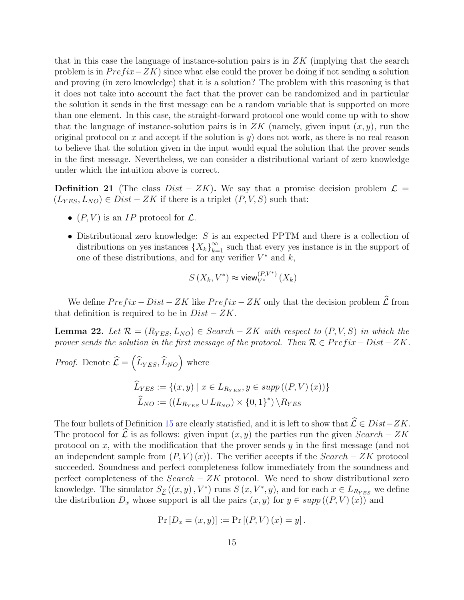that in this case the language of instance-solution pairs is in  $ZK$  (implying that the search problem is in  $Prefix-ZK)$  since what else could the prover be doing if not sending a solution and proving (in zero knowledge) that it is a solution? The problem with this reasoning is that it does not take into account the fact that the prover can be randomized and in particular the solution it sends in the first message can be a random variable that is supported on more than one element. In this case, the straight-forward protocol one would come up with to show that the language of instance-solution pairs is in  $ZK$  (namely, given input  $(x, y)$ , run the original protocol on x and accept if the solution is  $y$ ) does not work, as there is no real reason to believe that the solution given in the input would equal the solution that the prover sends in the first message. Nevertheless, we can consider a distributional variant of zero knowledge under which the intuition above is correct.

**Definition 21** (The class  $Dist - ZK$ ). We say that a promise decision problem  $\mathcal{L} =$  $(L_{YES}, L_{NO}) \in Dist - ZK$  if there is a triplet  $(P, V, S)$  such that:

- $(P, V)$  is an IP protocol for  $\mathcal{L}$ .
- Distributional zero knowledge:  $S$  is an expected PPTM and there is a collection of distributions on yes instances  $\{X_k\}_{k=1}^{\infty}$  such that every yes instance is in the support of one of these distributions, and for any verifier  $V^*$  and  $k$ ,

$$
S\left(X_k,V^*\right)\approx \mathrm{view}_{V^*}^{\left(P,V^*\right)}\left(X_k\right)
$$

We define  $Prefix - Dist - ZK$  like  $Prefix - ZK$  only that the decision problem  $\hat{\mathcal{L}}$  from that definition is required to be in  $Dist - ZK$ .

<span id="page-14-0"></span>**Lemma 22.** Let  $\mathcal{R} = (R_{YES}, L_{NO}) \in Search - ZK$  with respect to  $(P, V, S)$  in which the prover sends the solution in the first message of the protocol. Then  $\mathcal{R} \in \text{Prefix}-Dist-ZK$ .

*Proof.* Denote  $\hat{\mathcal{L}} = (\hat{L}_{YES}, \hat{L}_{NO})$  where  $\widehat{L}_{YES} := \{(x, y) \mid x \in L_{RYES}, y \in supp((P, V)(x))\}$  $\widehat{L}_{NO} := ((L_{R_{YES}} \cup L_{R_{NO}}) \times \{0,1\}^*) \backslash R_{YES}$ 

The four bullets of Definition [15](#page-10-0) are clearly statisfied, and it is left to show that  $\hat{\mathcal{L}} \in Dist-ZK$ . The protocol for  $\hat{\mathcal{L}}$  is as follows: given input  $(x, y)$  the parties run the given  $Search - ZK$ protocol on  $x$ , with the modification that the prover sends  $y$  in the first message (and not an independent sample from  $(P, V)(x)$ . The verifier accepts if the Search – ZK protocol succeeded. Soundness and perfect completeness follow immediately from the soundness and perfect completeness of the  $Search - ZK$  protocol. We need to show distributional zero knowledge. The simulator  $S_{\hat{\mathcal{L}}}(x, y), V^*$  runs  $S(x, V^*, y)$ , and for each  $x \in L_{R_{YES}}$  we define the distribution  $D_x$  whose support is all the pairs  $(x, y)$  for  $y \in supp((P, V)(x))$  and

$$
Pr[D_x = (x, y)] := Pr[(P, V)(x) = y].
$$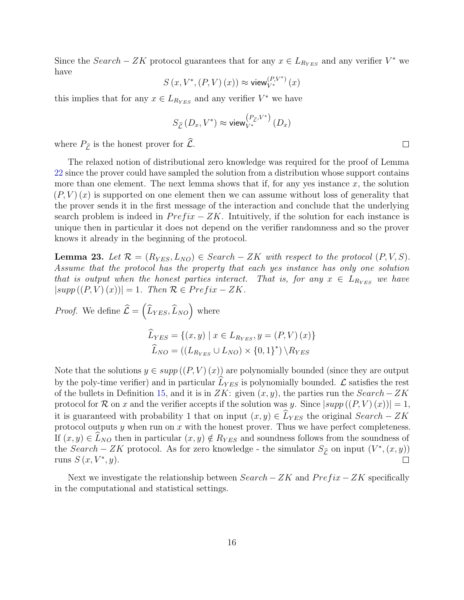Since the Search – ZK protocol guarantees that for any  $x \in L_{R_{YES}}$  and any verifier  $V^*$  we have

$$
S\left(x, V^*, \left(P, V\right)(x)\right) \approx \text{view}_{V^*}^{\left(P, V^*\right)}\left(x\right)
$$

this implies that for any  $x \in L_{R_{YES}}$  and any verifier  $V^*$  we have

$$
S_{\widehat{\mathcal{L}}}\left(D_x, V^*\right) \approx \text{view}_{V^*}^{\left(P_{\widehat{\mathcal{L}}}, V^*\right)}\left(D_x\right)
$$

where  $P_{\hat{\mathcal{L}}}$  is the honest prover for  $\hat{\mathcal{L}}$ .

The relaxed notion of distributional zero knowledge was required for the proof of Lemma [22](#page-14-0) since the prover could have sampled the solution from a distribution whose support contains more than one element. The next lemma shows that if, for any yes instance  $x$ , the solution  $(P, V)(x)$  is supported on one element then we can assume without loss of generality that the prover sends it in the first message of the interaction and conclude that the underlying search problem is indeed in  $Prefix - ZK$ . Intuitively, if the solution for each instance is unique then in particular it does not depend on the verifier randomness and so the prover knows it already in the beginning of the protocol.

<span id="page-15-0"></span>**Lemma 23.** Let  $\mathcal{R} = (R_{YES}, L_{NO}) \in Search - ZK$  with respect to the protocol  $(P, V, S)$ . Assume that the protocol has the property that each yes instance has only one solution that is output when the honest parties interact. That is, for any  $x \in L_{R_{YES}}$  we have  $|\text{supp}((P, V)(x))| = 1.$  Then  $\mathcal{R} \in \text{Prefix} - ZK$ .

*Proof.* We define  $\hat{\mathcal{L}} = (\hat{L}_{YES}, \hat{L}_{NO})$  where  $\widehat{L}_{YES} = \{(x, y) \mid x \in L_{R_{YES}}, y = (P, V) (x)\}\$  $\widehat{L}_{NO} = ((L_{R_{YES}} \cup L_{NO}) \times \{0,1\}^*) \backslash R_{YES}$ 

Note that the solutions  $y \in supp((P, V)(x))$  are polynomially bounded (since they are output by the poly-time verifier) and in particular  $L_{YES}$  is polynomially bounded.  $\mathcal{L}$  satisfies the rest of the bullets in Definition [15,](#page-10-0) and it is in  $ZK$ : given  $(x, y)$ , the parties run the Search – ZK protocol for R on x and the verifier accepts if the solution was y. Since  $|supp((P, V)(x))| = 1$ , it is guaranteed with probability 1 that on input  $(x, y) \in \widehat{L}_{YES}$  the original  $Search - ZK$ protocol outputs  $y$  when run on  $x$  with the honest prover. Thus we have perfect completeness. If  $(x, y) \in L_{NO}$  then in particular  $(x, y) \notin R_{YES}$  and soundness follows from the soundness of the Search – ZK protocol. As for zero knowledge - the simulator  $S_{\hat{\mathcal{L}}}$  on input  $(V^*, (x, y))$ runs  $S(x, V^*, y)$ .  $\Box$ 

Next we investigate the relationship between  $Search - ZK$  and  $Prefix - ZK$  specifically in the computational and statistical settings.

 $\Box$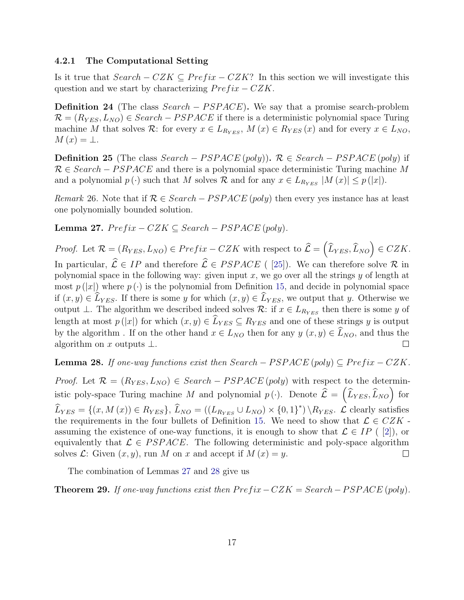#### 4.2.1 The Computational Setting

Is it true that  $Search - CZK \subseteq Prefix - CZK$ ? In this section we will investigate this question and we start by characterizing  $Prefix - CZK$ .

**Definition 24** (The class  $Search - PSPACE$ ). We say that a promise search-problem  $\mathcal{R} = (R_{YES}, L_{NO}) \in Search - PSPACE$  if there is a deterministic polynomial space Turing machine M that solves R: for every  $x \in L_{R_{YES}}$ ,  $M(x) \in R_{YES}(x)$  and for every  $x \in L_{NO}$ ,  $M(x) = \perp$ .

**Definition 25** (The class  $Search - PSPACE$  (poly)).  $\mathcal{R} \in Search - PSPACE$  (poly) if  $\mathcal{R} \in Search - PSPACE$  and there is a polynomial space deterministic Turing machine M and a polynomial  $p(\cdot)$  such that M solves R and for any  $x \in L_{R_{YES}} |M(x)| \leq p(|x|)$ .

Remark 26. Note that if  $\mathcal{R} \in Search-PSPACE$  (poly) then every yes instance has at least one polynomially bounded solution.

<span id="page-16-0"></span>**Lemma 27.**  $Prefix - CZK ⊆ Search - PSPACE (poly).$ 

Proof. Let  $\mathcal{R} = (R_{YES}, L_{NO}) \in Prefix - CZK$  with respect to  $\hat{\mathcal{L}} = (\hat{L}_{YES}, \hat{L}_{NO}) \in CZK$ . In particular,  $\hat{\mathcal{L}} \in IP$  and therefore  $\hat{\mathcal{L}} \in PSPACE$  ( [\[25\]](#page-31-0)). We can therefore solve R in polynomial space in the following way: given input x, we go over all the strings  $\gamma$  of length at most  $p(|x|)$  where  $p(\cdot)$  is the polynomial from Definition [15,](#page-10-0) and decide in polynomial space if  $(x, y) \in \widehat{L}_{YES}$ . If there is some y for which  $(x, y) \in \widehat{L}_{YES}$ , we output that y. Otherwise we output ⊥. The algorithm we described indeed solves R: if  $x \in L_{R_{YES}}$  then there is some y of length at most  $p(|x|)$  for which  $(x, y) \in \widehat{L}_{YES} \subseteq R_{YES}$  and one of these strings y is output by the algorithm. If on the other hand  $x \in L_{NO}$  then for any  $y(x, y) \in \widehat{L}_{NO}$ , and thus the algorithm on x outputs  $\perp$ . algorithm on x outputs  $\perp$ .

<span id="page-16-1"></span>**Lemma 28.** If one-way functions exist then  $Search - PSPACE$  (poly)  $\subseteq Prefix - CZK$ .

*Proof.* Let  $\mathcal{R} = (R_{YES}, L_{NO}) \in Search - PSPACE$  (poly) with respect to the deterministic poly-space Turing machine M and polynomial  $p(\cdot)$ . Denote  $\hat{\mathcal{L}} = (\hat{L}_{YES}, \hat{L}_{NO})$  for  $\widehat{L}_{YES} = \{(x, M(x)) \in R_{YES}\}, \widehat{L}_{NO} = ((L_{R_{YES}} \cup L_{NO}) \times \{0, 1\}^*) \setminus R_{YES}.$   $\mathcal{L}$  clearly satisfies the requirements in the four bullets of Definition [15.](#page-10-0) We need to show that  $\mathcal{L} \in CZK$ . assuming the existence of one-way functions, it is enough to show that  $\mathcal{L} \in IP$  ([\[2\]](#page-29-9)), or equivalently that  $\mathcal{L} \in PSPACE$ . The following deterministic and poly-space algorithm solves  $\mathcal{L}$ : Given  $(x, y)$ , run M on x and accept if  $M(x) = y$ .  $\Box$ 

The combination of Lemmas [27](#page-16-0) and [28](#page-16-1) give us

Theorem 29. If one-way functions exist then  $Prefix-CZK = Search-PSPACE$  (poly).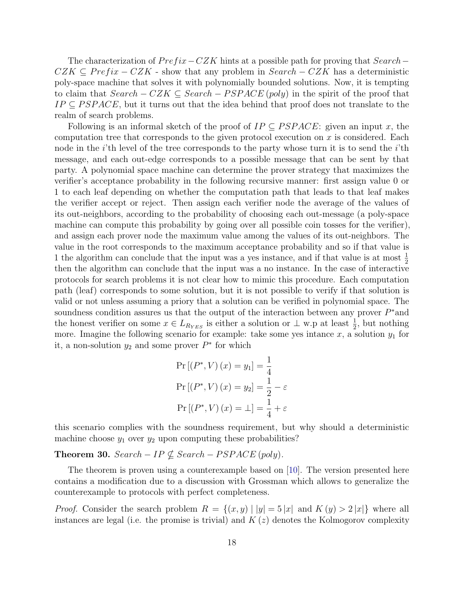The characterization of  $Prefix-CZK$  hints at a possible path for proving that  $Search CZK \subseteq Prefix - CZK$  - show that any problem in  $Search - CZK$  has a deterministic poly-space machine that solves it with polynomially bounded solutions. Now, it is tempting to claim that  $Search - CZK \subseteq Search - PSPACE$  (poly) in the spirit of the proof that  $IP \subseteq PSPACE$ , but it turns out that the idea behind that proof does not translate to the realm of search problems.

Following is an informal sketch of the proof of  $IP \subseteq PSPACE$ : given an input x, the computation tree that corresponds to the given protocol execution on x is considered. Each node in the *i*'th level of the tree corresponds to the party whose turn it is to send the *i*'th message, and each out-edge corresponds to a possible message that can be sent by that party. A polynomial space machine can determine the prover strategy that maximizes the verifier's acceptance probability in the following recursive manner: first assign value 0 or 1 to each leaf depending on whether the computation path that leads to that leaf makes the verifier accept or reject. Then assign each verifier node the average of the values of its out-neighbors, according to the probability of choosing each out-message (a poly-space machine can compute this probability by going over all possible coin tosses for the verifier), and assign each prover node the maximum value among the values of its out-neighbors. The value in the root corresponds to the maximum acceptance probability and so if that value is 1 the algorithm can conclude that the input was a yes instance, and if that value is at most  $\frac{1}{2}$ then the algorithm can conclude that the input was a no instance. In the case of interactive protocols for search problems it is not clear how to mimic this procedure. Each computation path (leaf) corresponds to some solution, but it is not possible to verify if that solution is valid or not unless assuming a priory that a solution can be verified in polynomial space. The soundness condition assures us that the output of the interaction between any prover  $P^*$  and the honest verifier on some  $x \in L_{R_{YES}}$  is either a solution or  $\perp$  w.p at least  $\frac{1}{2}$ , but nothing more. Imagine the following scenario for example: take some yes intance  $x$ , a solution  $y_1$  for it, a non-solution  $y_2$  and some prover  $P^*$  for which

$$
\Pr\left[\left(P^*, V\right)(x) = y_1\right] = \frac{1}{4}
$$

$$
\Pr\left[\left(P^*, V\right)(x) = y_2\right] = \frac{1}{2} - \varepsilon
$$

$$
\Pr\left[\left(P^*, V\right)(x) = \bot\right] = \frac{1}{4} + \varepsilon
$$

this scenario complies with the soundness requirement, but why should a deterministic machine choose  $y_1$  over  $y_2$  upon computing these probabilities?

Theorem 30.  $Search - IP \nsubseteq Search - PSPACE (poly).$ 

The theorem is proven using a counterexample based on [\[10\]](#page-29-1). The version presented here contains a modification due to a discussion with Grossman which allows to generalize the counterexample to protocols with perfect completeness.

*Proof.* Consider the search problem  $R = \{(x, y) \mid |y| = 5 |x| \text{ and } K(y) > 2 |x|\}$  where all instances are legal (i.e. the promise is trivial) and  $K(z)$  denotes the Kolmogorov complexity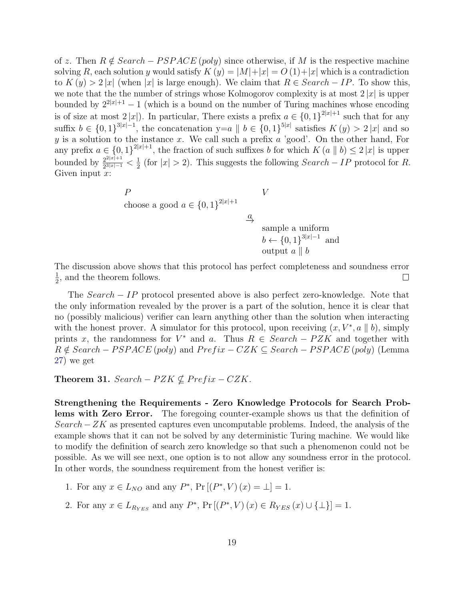of z. Then  $R \notin Search - PSPACE$  (poly) since otherwise, if M is the respective machine solving R, each solution y would satisfy  $K(y) = |M|+|x| = O(1)+|x|$  which is a contradiction to  $K(y) > 2|x|$  (when |x| is large enough). We claim that  $R \in Search - IP$ . To show this, we note that the the number of strings whose Kolmogorov complexity is at most  $2|x|$  is upper bounded by  $2^{2|x|+1} - 1$  (which is a bound on the number of Turing machines whose encoding is of size at most  $2|x|$ ). In particular, There exists a prefix  $a \in \{0,1\}^{2|x|+1}$  such that for any suffix  $b \in \{0,1\}^{3|x|-1}$ , the concatenation  $y=a \parallel b \in \{0,1\}^{5|x|}$  satisfies  $K(y) > 2|x|$  and so y is a solution to the instance x. We call such a prefix  $\alpha$  'good'. On the other hand, For any prefix  $a \in \{0,1\}^{2|x|+1}$ , the fraction of such suffixes b for which  $K(a||b) \leq 2|x|$  is upper bounded by  $\frac{2^{2|x|+1}}{2^{3|x|-1}}$  $\frac{2^{2|x|+1}}{2^{3|x|-1}} < \frac{1}{2}$  $\frac{1}{2}$  (for  $|x| > 2$ ). This suggests the following  $Search - IP$  protocol for R. Given input  $x$ :

$$
P
$$
 choose a good  $a \in \{0, 1\}^{2|x|+1}$   

$$
\xrightarrow{a}
$$
 sample a uniform  

$$
b \leftarrow \{0, 1\}^{3|x|-1}
$$
 and  
output  $a \parallel b$ 

The discussion above shows that this protocol has perfect completeness and soundness error 1  $\frac{1}{2}$ , and the theorem follows.  $\Box$ 

The  $Search - IP$  protocol presented above is also perfect zero-knowledge. Note that the only information revealed by the prover is a part of the solution, hence it is clear that no (possibly malicious) verifier can learn anything other than the solution when interacting with the honest prover. A simulator for this protocol, upon receiving  $(x, V^*, a \parallel b)$ , simply prints x, the randomness for  $V^*$  and a. Thus  $R \in Search - PZK$  and together with  $R \notin Search - PSPACE (poly)$  and  $Prefix - CZK \subseteq Search - PSPACE (poly)$  (Lemma [27\)](#page-16-0) we get

Theorem 31. Search – PZK  $\nsubseteq$  Prefix – CZK.

Strengthening the Requirements - Zero Knowledge Protocols for Search Problems with Zero Error. The foregoing counter-example shows us that the definition of  $Search-ZK$  as presented captures even uncomputable problems. Indeed, the analysis of the example shows that it can not be solved by any deterministic Turing machine. We would like to modify the definition of search zero knowledge so that such a phenomenon could not be possible. As we will see next, one option is to not allow any soundness error in the protocol. In other words, the soundness requirement from the honest verifier is:

- 1. For any  $x \in L_{NO}$  and any  $P^*$ ,  $Pr[(P^*, V)(x) = \perp] = 1$ .
- 2. For any  $x \in L_{R_{YES}}$  and any  $P^*$ ,  $Pr[(P^*, V)(x) \in R_{YES}(x) \cup {\{\perp\}}] = 1$ .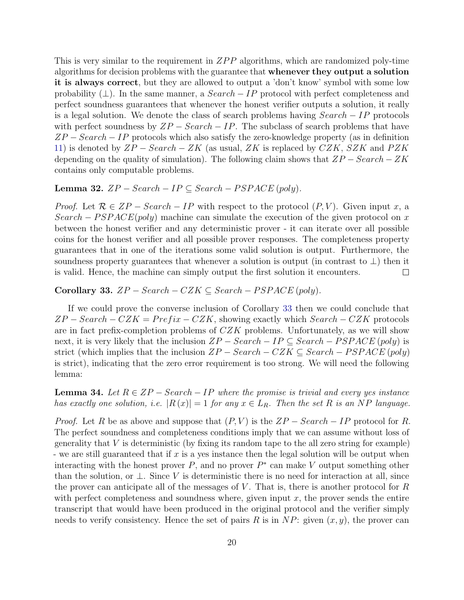This is very similar to the requirement in ZPP algorithms, which are randomized poly-time algorithms for decision problems with the guarantee that whenever they output a solution it is always correct, but they are allowed to output a 'don't know' symbol with some low probability  $(\perp)$ . In the same manner, a Search – IP protocol with perfect completeness and perfect soundness guarantees that whenever the honest verifier outputs a solution, it really is a legal solution. We denote the class of search problems having  $Search - IP$  protocols with perfect soundness by  $ZP - Search - IP$ . The subclass of search problems that have  $ZP - Search - IP$  protocols which also satisfy the zero-knowledge property (as in definition [11\)](#page-7-0) is denoted by  $ZP - Search - ZK$  (as usual, ZK is replaced by  $CZK$ , SZK and  $PZK$ depending on the quality of simulation). The following claim shows that  $ZP - Search - ZK$ contains only computable problems.

#### Lemma 32.  $ZP - Search - IP ⊆ Search - PSPACE (poly)$ .

*Proof.* Let  $\mathcal{R} \in ZP - Search - IP$  with respect to the protocol  $(P, V)$ . Given input x, a  $Search - PSPACE(poly)$  machine can simulate the execution of the given protocol on x between the honest verifier and any deterministic prover - it can iterate over all possible coins for the honest verifier and all possible prover responses. The completeness property guarantees that in one of the iterations some valid solution is output. Furthermore, the soundness property guarantees that whenever a solution is output (in contrast to  $\perp$ ) then it is valid. Hence, the machine can simply output the first solution it encounters.  $\Box$ 

#### <span id="page-19-0"></span>Corollary 33.  $ZP - Search - CZK \subseteq Search - PSPACE$  (poly).

If we could prove the converse inclusion of Corollary [33](#page-19-0) then we could conclude that  $ZP - Search - CZK = Prefix - CZK$ , showing exactly which  $Search - CZK$  protocols are in fact prefix-completion problems of  $CZK$  problems. Unfortunately, as we will show next, it is very likely that the inclusion  $ZP - Search - IP \subseteq Search - PSPACE$  (poly) is strict (which implies that the inclusion  $ZP - Search - CZK \subseteq Search - PSPACE$  (poly) is strict), indicating that the zero error requirement is too strong. We will need the following lemma:

<span id="page-19-1"></span>**Lemma 34.** Let  $R \in ZP - Search - IP$  where the promise is trivial and every yes instance has exactly one solution, i.e.  $|R(x)| = 1$  for any  $x \in L_R$ . Then the set R is an NP language.

*Proof.* Let R be as above and suppose that  $(P, V)$  is the  $ZP - Search - IP$  protocol for R. The perfect soundness and completeness conditions imply that we can assume without loss of generality that  $V$  is deterministic (by fixing its random tape to the all zero string for example) - we are still guaranteed that if x is a yes instance then the legal solution will be output when interacting with the honest prover  $P$ , and no prover  $P^*$  can make V output something other than the solution, or  $\perp$ . Since V is deterministic there is no need for interaction at all, since the prover can anticipate all of the messages of  $V$ . That is, there is another protocol for  $R$ with perfect completeness and soundness where, given input  $x$ , the prover sends the entire transcript that would have been produced in the original protocol and the verifier simply needs to verify consistency. Hence the set of pairs R is in  $NP$ : given  $(x, y)$ , the prover can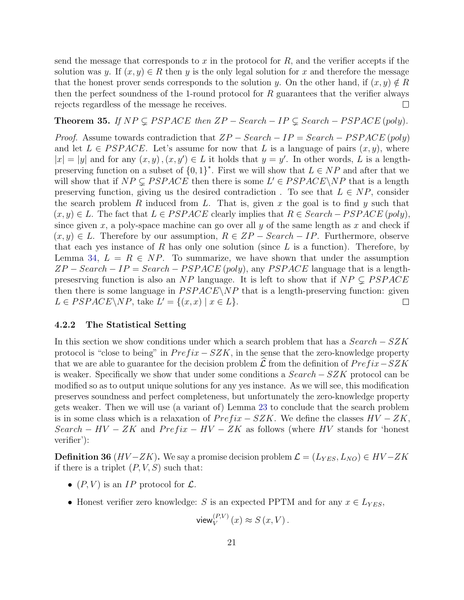send the message that corresponds to x in the protocol for  $R$ , and the verifier accepts if the solution was y. If  $(x, y) \in R$  then y is the only legal solution for x and therefore the message that the honest prover sends corresponds to the solution y. On the other hand, if  $(x, y) \notin R$ then the perfect soundness of the 1-round protocol for  $R$  guarantees that the verifier always rejects regardless of the message he receives.  $\Box$ 

### Theorem 35. If  $NP \subseteq PSPACE$  then  $ZP - Search - IP \subseteq Search - PSPACE$  (poly).

*Proof.* Assume towards contradiction that  $ZP - Search - IP = Search - PSPACE$  (poly) and let  $L \in PSPACE$ . Let's assume for now that L is a language of pairs  $(x, y)$ , where  $|x| = |y|$  and for any  $(x, y), (x, y') \in L$  it holds that  $y = y'$ . In other words, L is a lengthpreserving function on a subset of  $\{0,1\}^*$ . First we will show that  $L \in NP$  and after that we will show that if  $NP \subseteq PSPACE$  then there is some  $L' \in PSPACE \backslash NP$  that is a length preserving function, giving us the desired contradiction. To see that  $L \in NP$ , consider the search problem R induced from L. That is, given x the goal is to find y such that  $(x, y) \in L$ . The fact that  $L \in PSPACE$  clearly implies that  $R \in Search - PSPACE$  (poly), since given x, a poly-space machine can go over all y of the same length as x and check if  $(x, y) \in L$ . Therefore by our assumption,  $R \in ZP - Search - IP$ . Furthermore, observe that each yes instance of R has only one solution (since  $L$  is a function). Therefore, by Lemma [34,](#page-19-1)  $L = R \in NP$ . To summarize, we have shown that under the assumption  $ZP - Search - IP = Search - PSPACE (poly)$ , any PSPACE language that is a lengthpresesrving function is also an NP language. It is left to show that if  $NP \subseteq PSPACE$ then there is some language in  $PSPACE\backslash NP$  that is a length-preserving function: given  $L \in PSPACE \backslash NP$ , take  $L' = \{(x, x) \mid x \in L\}.$  $\Box$ 

#### 4.2.2 The Statistical Setting

In this section we show conditions under which a search problem that has a  $Search - SZK$ protocol is "close to being" in  $Prefix - SZK$ , in the sense that the zero-knowledge property that we are able to guarantee for the decision problem  $\mathcal L$  from the definition of  $Prefix-SZK$ is weaker. Specifically we show that under some conditions a Search − SZK protocol can be modified so as to output unique solutions for any yes instance. As we will see, this modification preserves soundness and perfect completeness, but unfortunately the zero-knowledge property gets weaker. Then we will use (a variant of) Lemma [23](#page-15-0) to conclude that the search problem is in some class which is a relaxation of  $Prefix - SZK$ . We define the classes  $HV - ZK$ ,  $Search - HV - ZK$  and  $Prefix - HV - ZK$  as follows (where HV stands for 'honest verifier'):

**Definition 36** ( $HV-ZK$ ). We say a promise decision problem  $\mathcal{L} = (L_{YES}, L_{NO}) \in HV-ZK$ if there is a triplet  $(P, V, S)$  such that:

- $(P, V)$  is an IP protocol for  $\mathcal{L}$ .
- Honest verifier zero knowledge: S is an expected PPTM and for any  $x \in L_{YES}$ ,

$$
\mathsf{view}_V^{(P,V)}(x) \approx S(x,V).
$$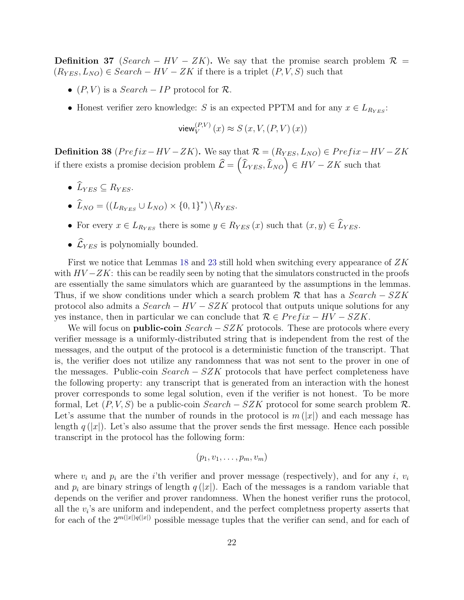**Definition 37** (Search – HV – ZK). We say that the promise search problem  $\mathcal{R}$  =  $(R_{YES}, L_{NO}) \in Search-HV-ZK$  if there is a triplet  $(P, V, S)$  such that

- $(P, V)$  is a Search IP protocol for  $\mathcal{R}$ .
- Honest verifier zero knowledge: S is an expected PPTM and for any  $x \in L_{R_{YES}}$ :

$$
\mathsf{view}_V^{(P,V)}(x) \approx S(x, V, (P, V)(x))
$$

Definition 38 ( $Prefix - HV - ZK$ ). We say that  $\mathcal{R} = (R_{YES}, L_{NO}) \in Prefix - HV - ZK$ if there exists a promise decision problem  $\hat{\mathcal{L}} = (\hat{L}_{YES}, \hat{L}_{NO}) \in HV - ZK$  such that

- $\widehat{L}_{YES} \subset R_{YES}.$
- $\widehat{L}_{NO} = ((L_{R_{YES}} \cup L_{NO}) \times \{0,1\}^*) \backslash R_{YES}.$
- For every  $x \in L_{R_{VES}}$  there is some  $y \in R_{YES}(x)$  such that  $(x, y) \in \widehat{L}_{YES}$ .
- $\widehat{\mathcal{L}}_{YES}$  is polynomially bounded.

First we notice that Lemmas [18](#page-11-0) and [23](#page-15-0) still hold when switching every appearance of  $ZK$ with  $HV-ZK$ : this can be readily seen by noting that the simulators constructed in the proofs are essentially the same simulators which are guaranteed by the assumptions in the lemmas. Thus, if we show conditions under which a search problem  $R$  that has a  $Search - SZK$ protocol also admits a  $Search - HV - SZK$  protocol that outputs unique solutions for any yes instance, then in particular we can conclude that  $\mathcal{R} \in Prefix - HV - SZK$ .

We will focus on **public-coin**  $Search - SZK$  protocols. These are protocols where every verifier message is a uniformly-distributed string that is independent from the rest of the messages, and the output of the protocol is a deterministic function of the transcript. That is, the verifier does not utilize any randomness that was not sent to the prover in one of the messages. Public-coin  $Search - SZK$  protocols that have perfect completeness have the following property: any transcript that is generated from an interaction with the honest prover corresponds to some legal solution, even if the verifier is not honest. To be more formal, Let  $(P, V, S)$  be a public-coin  $Search - SZK$  protocol for some search problem R. Let's assume that the number of rounds in the protocol is  $m(|x|)$  and each message has length  $q(|x|)$ . Let's also assume that the prover sends the first message. Hence each possible transcript in the protocol has the following form:

$$
(p_1,v_1,\ldots,p_m,v_m)
$$

where  $v_i$  and  $p_i$  are the i'th verifier and prover message (respectively), and for any i,  $v_i$ and  $p_i$  are binary strings of length  $q(|x|)$ . Each of the messages is a random variable that depends on the verifier and prover randomness. When the honest verifier runs the protocol, all the  $v_i$ 's are uniform and independent, and the perfect completness property asserts that for each of the  $2^{m(|x|)q(|x|)}$  possible message tuples that the verifier can send, and for each of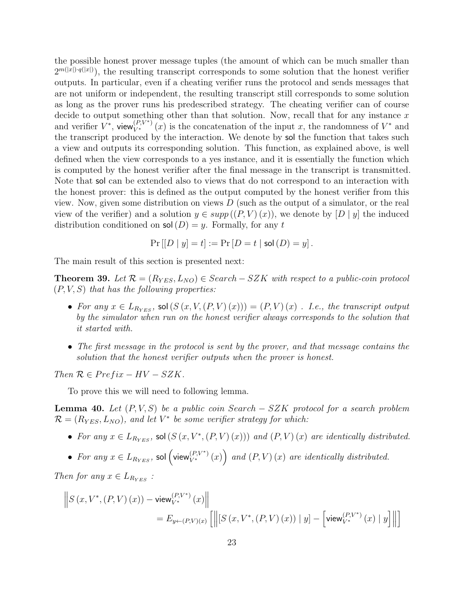the possible honest prover message tuples (the amount of which can be much smaller than  $2^{m(|x|) \cdot q(|x|)}$ , the resulting transcript corresponds to some solution that the honest verifier outputs. In particular, even if a cheating verifier runs the protocol and sends messages that are not uniform or independent, the resulting transcript still corresponds to some solution as long as the prover runs his predescribed strategy. The cheating verifier can of course decide to output something other than that solution. Now, recall that for any instance  $x$ and verifier  $V^*$ , view $V^{(*)}(x)$  is the concatenation of the input x, the randomness of  $V^*$  and the transcript produced by the interaction. We denote by sol the function that takes such a view and outputs its corresponding solution. This function, as explained above, is well defined when the view corresponds to a yes instance, and it is essentially the function which is computed by the honest verifier after the final message in the transcript is transmitted. Note that sol can be extended also to views that do not correspond to an interaction with the honest prover: this is defined as the output computed by the honest verifier from this view. Now, given some distribution on views  $D$  (such as the output of a simulator, or the real view of the verifier) and a solution  $y \in supp((P, V)(x))$ , we denote by  $|D|y|$  the induced distribution conditioned on  $\mathsf{sol}(D) = y$ . Formally, for any t

$$
Pr [[D | y] = t] := Pr [D = t | sol (D) = y].
$$

The main result of this section is presented next:

<span id="page-22-0"></span>**Theorem 39.** Let  $\mathcal{R} = (R_{YES}, L_{NO}) \in Search - SZK$  with respect to a public-coin protocol  $(P, V, S)$  that has the following properties:

- For any  $x \in L_{R_{YES}}$ , sol $(S(x, V, (P, V) (x))) = (P, V) (x)$ . I.e., the transcript output by the simulator when run on the honest verifier always corresponds to the solution that it started with.
- The first message in the protocol is sent by the prover, and that message contains the solution that the honest verifier outputs when the prover is honest.

Then  $\mathcal{R} \in \text{Prefix} - HV - SZK$ .

To prove this we will need to following lemma.

<span id="page-22-1"></span>**Lemma 40.** Let  $(P, V, S)$  be a public coin Search – SZK protocol for a search problem  $\mathcal{R} = (R_{YES}, L_{NO})$ , and let  $V^*$  be some verifier strategy for which:

- For any  $x \in L_{R_{YES}},$  sol  $(S(x, V^*, (P, V)(x)))$  and  $(P, V)(x)$  are identically distributed.
- For any  $x \in L_{R_{YES}},$  sol  $\left(\text{view}_{V^*}^{(P,V^*)}(x)\right)$  and  $(P,V)(x)$  are identically distributed.

Then for any  $x \in L_{R_{YES}}$ :

$$
\left\| S\left( x, V^*, (P, V)(x) \right) - \text{view}_{V^*}^{(P, V^*)}(x) \right\|
$$
  
=  $E_{y \leftarrow (P, V)(x)} \left[ \left\| \left[ S\left( x, V^*, (P, V)(x) \right) \mid y \right] - \left[ \text{view}_{V^*}^{(P, V^*)}(x) \mid y \right] \right\| \right]$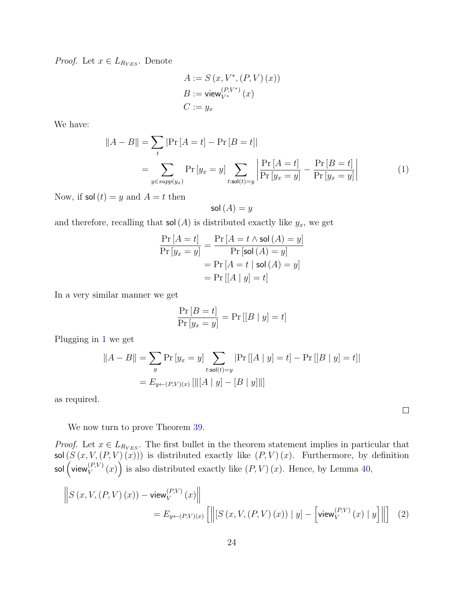*Proof.* Let  $x \in L_{R_{YES}}$ . Denote

$$
\begin{aligned} A &:= S\left(x, V^*, (P, V)\left(x\right)\right) \\ B &:= \text{view}_{V^*}^{\left(P, V^*\right)}\left(x\right) \\ C &:= y_x \end{aligned}
$$

We have:

$$
||A - B|| = \sum_{t} |\Pr[A = t] - \Pr[B = t]|
$$
  
= 
$$
\sum_{y \in supp(y_x)} \Pr[y_x = y] \sum_{t : sol(t) = y} \left| \frac{\Pr[A = t]}{\Pr[y_x = y]} - \frac{\Pr[B = t]}{\Pr[y_x = y]} \right|
$$
 (1)

Now, if sol  $(t) = y$  and  $A = t$  then

<span id="page-23-0"></span>
$$
\mathsf{sol}\,(A) = y
$$

and therefore, recalling that  $\mathsf{sol}(A)$  is distributed exactly like  $y_x$ , we get

$$
\frac{\Pr\left[A=t\right]}{\Pr\left[y_x=y\right]} = \frac{\Pr\left[A=t \wedge \text{sol}\left(A\right)=y\right]}{\Pr\left[\text{sol}\left(A\right)=y\right]}
$$
\n
$$
= \Pr\left[A=t \mid \text{sol}\left(A\right)=y\right]
$$
\n
$$
= \Pr\left[\left[A \mid y\right]=t\right]
$$

In a very similar manner we get

$$
\frac{\Pr[B=t]}{\Pr[y_x = y]} = \Pr[[B \mid y] = t]
$$

Plugging in [1](#page-23-0) we get

$$
||A - B|| = \sum_{y} Pr [y_x = y] \sum_{t : sol(t) = y} |Pr [[A | y] = t] - Pr [[B | y] = t]||
$$
  
=  $E_{y \leftarrow (P, V)(x)} [||[A | y] - [B | y]||]$ 

as required.

We now turn to prove Theorem [39.](#page-22-0)

*Proof.* Let  $x \in L_{R_{YES}}$ . The first bullet in the theorem statement implies in particular that sol  $(S(x, V, (P, V) (x)))$  is distributed exactly like  $(P, V) (x)$ . Furthermore, by definition sol  $\left(\mathsf{view}^{(P,V)}_V\left(x\right)\right)$  is also distributed exactly like  $\left(P,V\right)\left(x\right).$  Hence, by Lemma [40,](#page-22-1)

$$
\left\| S\left(x, V, (P, V)(x)\right) - \text{view}_{V}^{(P, V)}(x) \right\|
$$
  
=  $E_{y \leftarrow (P, V)(x)} \left[ \left\| \left[ S\left(x, V, (P, V)(x)\right) \mid y \right] - \left[ \text{view}_{V}^{(P, V)}(x) \mid y \right] \right\| \right] (2)$ 

<span id="page-23-1"></span> $\Box$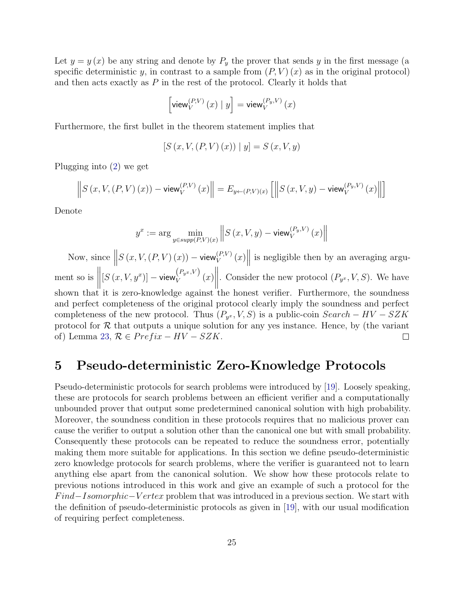Let  $y = y(x)$  be any string and denote by  $P_y$  the prover that sends y in the first message (a specific deterministic y, in contrast to a sample from  $(P, V)(x)$  as in the original protocol) and then acts exactly as  $P$  in the rest of the protocol. Clearly it holds that

$$
\left[\text{view}_V^{\left(P,V\right)}\left(x\right) \mid y\right] = \text{view}_V^{\left(P_y,V\right)}\left(x\right)
$$

Furthermore, the first bullet in the theorem statement implies that

$$
[S (x, V, (P, V) (x)) | y] = S (x, V, y)
$$

Plugging into [\(2\)](#page-23-1) we get

$$
\left\|S\left(x, V, \left(P, V\right)(x)\right) - \mathsf{view}_V^{\left(P, V\right)}\left(x\right)\right\| = E_{y \leftarrow \left(P, V\right)(x)}\left[\left\|S\left(x, V, y\right) - \mathsf{view}_V^{\left(P_y, V\right)}\left(x\right)\right\|\right]
$$

Denote

$$
y^{x} := \arg\min_{y \in \text{supp}(P, V)(x)} \left\| S(x, V, y) - \text{view}_{V}^{(P_y, V)}(x) \right\|
$$

Now, since  $\parallel$  $S(x, V, (P, V) (x)) - \text{view}_V^{(P, V)}(x)$  is negligible then by an averaging argu- $\begin{array}{c} \hline \end{array}$  $\begin{array}{c} \hline \end{array}$  $\left[S\left(x, V, y^x\right)\right] - \mathsf{view}_V^{\left(P_{y^x}, V\right)}\left(x\right)$ ment so is . Consider the new protocol  $(P_{y^x}, V, S)$ . We have shown that it is zero-knowledge against the honest verifier. Furthermore, the soundness and perfect completeness of the original protocol clearly imply the soundness and perfect completeness of the new protocol. Thus  $(P_{y^x}, V, S)$  is a public-coin  $Search - HV - SZK$ protocol for  $R$  that outputs a unique solution for any yes instance. Hence, by (the variant of) Lemma [23,](#page-15-0)  $\mathcal{R} \in Prefix - HV - SZK$ .  $\Box$ 

### <span id="page-24-0"></span>5 Pseudo-deterministic Zero-Knowledge Protocols

Pseudo-deterministic protocols for search problems were introduced by [\[19\]](#page-30-3). Loosely speaking, these are protocols for search problems between an efficient verifier and a computationally unbounded prover that output some predetermined canonical solution with high probability. Moreover, the soundness condition in these protocols requires that no malicious prover can cause the verifier to output a solution other than the canonical one but with small probability. Consequently these protocols can be repeated to reduce the soundness error, potentially making them more suitable for applications. In this section we define pseudo-deterministic zero knowledge protocols for search problems, where the verifier is guaranteed not to learn anything else apart from the canonical solution. We show how these protocols relate to previous notions introduced in this work and give an example of such a protocol for the  $Find-I somorphic-Vertex$  problem that was introduced in a previous section. We start with the definition of pseudo-deterministic protocols as given in [\[19\]](#page-30-3), with our usual modification of requiring perfect completeness.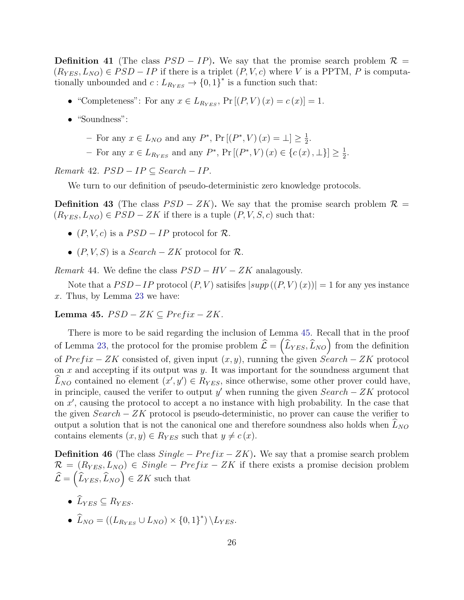**Definition 41** (The class  $PSD - IP$ ). We say that the promise search problem  $\mathcal{R} =$  $(R_{YES}, L_{NO}) \in PSD - IP$  if there is a triplet  $(P, V, c)$  where V is a PPTM, P is computationally unbounded and  $c: L_{R_{YES}} \to {0,1}^*$  is a function such that:

- "Completeness": For any  $x \in L_{R_{YES}}$ ,  $Pr[(P, V)(x) = c(x)] = 1$ .
- "Soundness":
	- For any  $x \in L_{NO}$  and any  $P^*$ ,  $Pr[(P^*, V)(x) = \perp] \ge \frac{1}{2}$  $\frac{1}{2}$ .
	- − For any  $x \in L_{R_{YES}}$  and any  $P^*$ , Pr [( $P^*$ , V) ( $x$ ) ∈ { $c(x)$ , ⊥}] ≥  $\frac{1}{2}$  $\frac{1}{2}$ .

 $Remark 42. PSD - IP \subseteq Search - IP$ .

We turn to our definition of pseudo-deterministic zero knowledge protocols.

**Definition 43** (The class  $PSD - ZK$ ). We say that the promise search problem  $\mathcal{R} =$  $(R_{YES}, L_{NO}) \in PSD - ZK$  if there is a tuple  $(P, V, S, c)$  such that:

- $(P, V, c)$  is a  $PSD IP$  protocol for  $\mathcal{R}$ .
- $(P, V, S)$  is a Search ZK protocol for R.

Remark 44. We define the class  $PSD - HV - ZK$  analagously.

Note that a  $PSD-IP$  protocol  $(P, V)$  satisifes  $|supp((P, V)(x))|=1$  for any yes instance x. Thus, by Lemma [23](#page-15-0) we have:

<span id="page-25-0"></span>Lemma 45.  $PSD - ZK \subseteq Prefix - ZK$ .

There is more to be said regarding the inclusion of Lemma [45.](#page-25-0) Recall that in the proof of Lemma [23,](#page-15-0) the protocol for the promise problem  $\hat{\mathcal{L}} = (\hat{L}_{YES}, \hat{L}_{NO})$  from the definition of  $Prefix - ZK$  consisted of, given input  $(x, y)$ , running the given  $Search - ZK$  protocol on x and accepting if its output was y. It was important for the soundness argument that  $\widehat{L}_{NO}$  contained no element  $(x', y') \in R_{YES}$ , since otherwise, some other prover could have, in principle, caused the verifer to output y' when running the given  $Search - ZK$  protocol on  $x'$ , causing the protocol to accept a no instance with high probability. In the case that the given  $Search - ZK$  protocol is pseudo-deterministic, no prover can cause the verifier to output a solution that is not the canonical one and therefore soundness also holds when  $L_{NO}$ contains elements  $(x, y) \in R_{YES}$  such that  $y \neq c(x)$ .

**Definition 46** (The class  $Single - Prefix - ZK$ ). We say that a promise search problem  $\mathcal{R} = (R_{YES}, L_{NO}) \in Single-Prefix - ZK$  if there exists a promise decision problem  $\widehat{\mathcal{L}} = (\widehat{L}_{YES}, \widehat{L}_{NO}) \in ZK$  such that

- $\widehat{L}_{VES} \subseteq R_{VES}$ .
- $\widehat{L}_{NO} = ((L_{R_{YES}} \cup L_{NO}) \times \{0,1\}^*) \backslash L_{YES}.$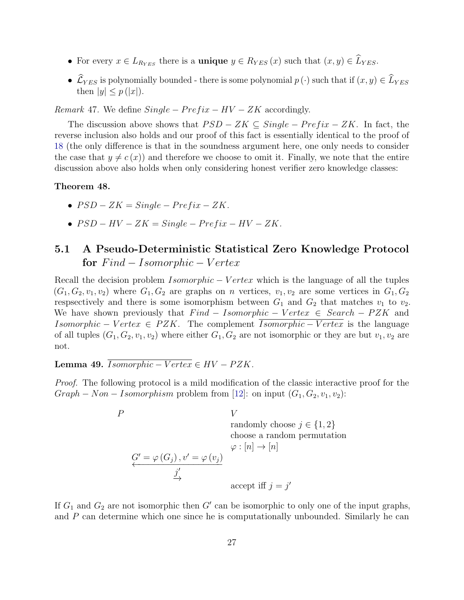- For every  $x \in L_{R_{YES}}$  there is a **unique**  $y \in R_{YES}(x)$  such that  $(x, y) \in \widehat{L}_{YES}$ .
- $\widehat{\mathcal{L}}_{YES}$  is polynomially bounded there is some polynomial  $p(\cdot)$  such that if  $(x, y) \in \widehat{L}_{YES}$ then  $|y| \leq p(|x|)$ .

Remark 47. We define  $Single - Prefix - HV - ZK$  accordingly.

The discussion above shows that  $PSD - ZK \subseteq Single - Prefix - ZK$ . In fact, the reverse inclusion also holds and our proof of this fact is essentially identical to the proof of [18](#page-11-0) (the only difference is that in the soundness argument here, one only needs to consider the case that  $y \neq c(x)$  and therefore we choose to omit it. Finally, we note that the entire discussion above also holds when only considering honest verifier zero knowledge classes:

#### Theorem 48.

- $PSD ZK = Single Prefix ZK$ .
- $PSD HV ZK = Single Prefix HV ZK$ .

### 5.1 A Pseudo-Deterministic Statistical Zero Knowledge Protocol for  $Find - Isomorphic - Vertex$

Recall the decision problem  $Isomorphic - Vertex$  which is the language of all the tuples  $(G_1, G_2, v_1, v_2)$  where  $G_1, G_2$  are graphs on *n* vertices,  $v_1, v_2$  are some vertices in  $G_1, G_2$ respsectively and there is some isomorphism between  $G_1$  and  $G_2$  that matches  $v_1$  to  $v_2$ . We have shown previously that  $Find - Isomorphic - Vertex \in Search - PZK$  and Isomorphic – Vertex  $\in PZK$ . The complement Isomorphic – Vertex is the language of all tuples  $(G_1, G_2, v_1, v_2)$  where either  $G_1, G_2$  are not isomorphic or they are but  $v_1, v_2$  are not.

Lemma 49.  $\overline{Isomorphic - Vertex} \in HV - PZK$ .

Proof. The following protocol is a mild modification of the classic interactive proof for the  $Graph - Non - Isomorphism problem from [12]: on input  $(G_1, G_2, v_1, v_2)$ :$  $Graph - Non - Isomorphism problem from [12]: on input  $(G_1, G_2, v_1, v_2)$ :$  $Graph - Non - Isomorphism problem from [12]: on input  $(G_1, G_2, v_1, v_2)$ :$ 

P  
\n
$$
V
$$
\nrandomly choose  $j \in \{1, 2\}$   
\nchoose a random permutation  
\n
$$
G' = \varphi(G_j), v' = \varphi(v_j)
$$
\n
$$
\xrightarrow{j'}
$$
\naccept iff  $j = j'$ 

If  $G_1$  and  $G_2$  are not isomorphic then  $G'$  can be isomorphic to only one of the input graphs, and  $P$  can determine which one since he is computationally unbounded. Similarly he can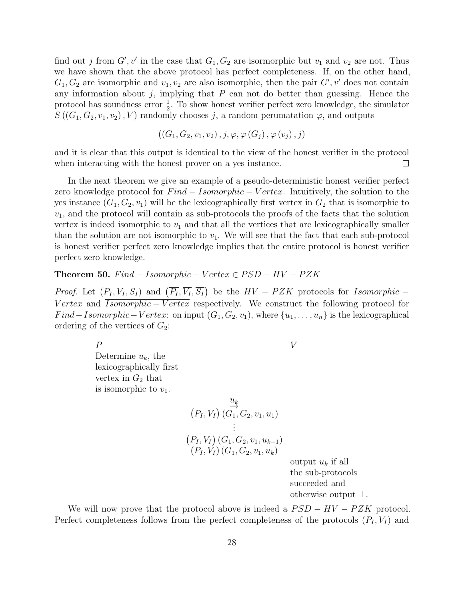find out j from  $G'$ ,  $v'$  in the case that  $G_1, G_2$  are isormorphic but  $v_1$  and  $v_2$  are not. Thus we have shown that the above protocol has perfect completeness. If, on the other hand,  $G_1, G_2$  are isomorphic and  $v_1, v_2$  are also isomorphic, then the pair  $G', v'$  does not contain any information about  $j$ , implying that  $P$  can not do better than guessing. Hence the protocol has soundness error  $\frac{1}{2}$ . To show honest verifier perfect zero knowledge, the simulator  $S((G_1, G_2, v_1, v_2), V)$  randomly chooses j, a random perumatation  $\varphi$ , and outputs

$$
((G_1, G_2, v_1, v_2), j, \varphi, \varphi(G_j), \varphi(v_j), j)
$$

and it is clear that this output is identical to the view of the honest verifier in the protocol when interacting with the honest prover on a yes instance.  $\Box$ 

In the next theorem we give an example of a pseudo-deterministic honest verifier perfect zero knowledge protocol for  $Find - Isomorphic - Vertex$ . Intuitively, the solution to the yes instance  $(G_1, G_2, v_1)$  will be the lexicographically first vertex in  $G_2$  that is isomorphic to  $v_1$ , and the protocol will contain as sub-protocols the proofs of the facts that the solution vertex is indeed isomorphic to  $v_1$  and that all the vertices that are lexicographically smaller than the solution are not isomorphic to  $v_1$ . We will see that the fact that each sub-protocol is honest verifier perfect zero knowledge implies that the entire protocol is honest verifier perfect zero knowledge.

#### Theorem 50.  $Find - Isomorphic - Vertex \in PSD - HV - PZK$

*Proof.* Let  $(P_I, V_I, S_I)$  and  $(\overline{P_I}, \overline{V_I}, \overline{S_I})$  be the  $HV - PZK$  protocols for *Isomorphic* – V ertex and  $\overline{Isomorphic - Vertex}$  respectively. We construct the following protocol for Find – Isomorphic – Vertex: on input  $(G_1, G_2, v_1)$ , where  $\{u_1, \ldots, u_n\}$  is the lexicographical ordering of the vertices of  $G_2$ :

> $P$   $V$ Determine  $u_k$ , the lexicographically first vertex in  $G_2$  that is isomorphic to  $v_1$ .

$$
\frac{u_k}{(P_I, \overline{V_I})} \cdot \overrightarrow{(G_1, G_2, v_1, u_1)}
$$
\n
$$
\vdots
$$
\n
$$
\overrightarrow{(P_I, \overline{V_I})} \cdot \overrightarrow{(G_1, G_2, v_1, u_{k-1})}
$$
\n
$$
\overrightarrow{(P_I, V_I)} \cdot \overrightarrow{(G_1, G_2, v_1, u_k)}
$$

output  $u_k$  if all the sub-protocols succeeded and otherwise output ⊥.

We will now prove that the protocol above is indeed a  $PSD - HV - PZK$  protocol. Perfect completeness follows from the perfect completeness of the protocols  $(P_I, V_I)$  and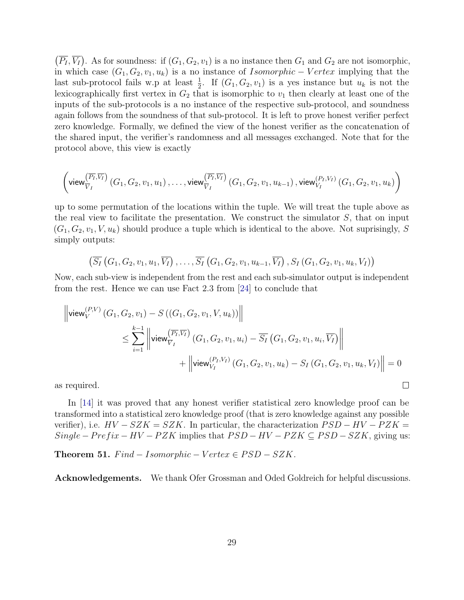$(\overline{P_1}, \overline{V_1})$ . As for soundness: if  $(G_1, G_2, v_1)$  is a no instance then  $G_1$  and  $G_2$  are not isomorphic, in which case  $(G_1, G_2, v_1, u_k)$  is a no instance of *Isomorphic – Vertex* implying that the last sub-protocol fails w.p at least  $\frac{1}{2}$ . If  $(G_1, G_2, v_1)$  is a yes instance but  $u_k$  is not the lexicographically first vertex in  $G_2$  that is isomorphic to  $v_1$  then clearly at least one of the inputs of the sub-protocols is a no instance of the respective sub-protocol, and soundness again follows from the soundness of that sub-protocol. It is left to prove honest verifier perfect zero knowledge. Formally, we defined the view of the honest verifier as the concatenation of the shared input, the verifier's randomness and all messages exchanged. Note that for the protocol above, this view is exactly

$$
\left(\text{view}_{\overline{V}_I}^{\left(\overline{P_I},\overline{V_I}\right)}\left(G_1,G_2,v_1,u_1\right),\ldots,\text{view}_{\overline{V}_I}^{\left(\overline{P_I},\overline{V_I}\right)}\left(G_1,G_2,v_1,u_{k-1}\right),\text{view}_{V_I}^{\left(P_I,V_I\right)}\left(G_1,G_2,v_1,u_k\right)\right)
$$

up to some permutation of the locations within the tuple. We will treat the tuple above as the real view to facilitate the presentation. We construct the simulator  $S$ , that on input  $(G_1, G_2, v_1, V, u_k)$  should produce a tuple which is identical to the above. Not suprisingly, S simply outputs:

$$
\left(\overline{S_I}\left(G_1, G_2, v_1, u_1, \overline{V_I}\right), \ldots, \overline{S_I}\left(G_1, G_2, v_1, u_{k-1}, \overline{V_I}\right), S_I\left(G_1, G_2, v_1, u_k, V_I\right)\right)
$$

Now, each sub-view is independent from the rest and each sub-simulator output is independent from the rest. Hence we can use Fact 2.3 from [\[24\]](#page-31-5) to conclude that

$$
\left\|\text{view}_{V}^{(P,V)}(G_{1}, G_{2}, v_{1}) - S((G_{1}, G_{2}, v_{1}, V, u_{k}))\right\|
$$
  

$$
\leq \sum_{i=1}^{k-1} \left\|\text{view}_{\overline{V}_{I}}^{\overline{(P_{I}, V_{I})}}(G_{1}, G_{2}, v_{1}, u_{i}) - \overline{S}_{I}(G_{1}, G_{2}, v_{1}, u_{i}, \overline{V}_{I})\right\|
$$
  

$$
+ \left\|\text{view}_{V_{I}}^{(P_{I}, V_{I})}(G_{1}, G_{2}, v_{1}, u_{k}) - S_{I}(G_{1}, G_{2}, v_{1}, u_{k}, V_{I})\right\| = 0
$$

 $\Box$ 

as required.

In [\[14\]](#page-30-5) it was proved that any honest verifier statistical zero knowledge proof can be transformed into a statistical zero knowledge proof (that is zero knowledge against any possible verifier), i.e.  $HV - SZK = SZK$ . In particular, the characterization  $PSD - HV - PZK =$  $Single - Prefix - HV - PZK$  implies that  $PSD - HV - PZK \subseteq PSD - SZK$ , giving us:

Theorem 51. Find – Isomorphic – Vertex  $\in$  PSD – SZK.

Acknowledgements. We thank Ofer Grossman and Oded Goldreich for helpful discussions.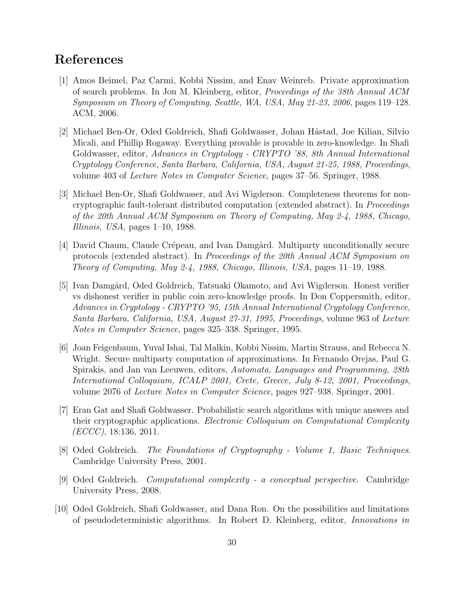# References

- <span id="page-29-5"></span>[1] Amos Beimel, Paz Carmi, Kobbi Nissim, and Enav Weinreb. Private approximation of search problems. In Jon M. Kleinberg, editor, Proceedings of the 38th Annual ACM Symposium on Theory of Computing, Seattle, WA, USA, May 21-23, 2006, pages 119–128. ACM, 2006.
- <span id="page-29-9"></span>[2] Michael Ben-Or, Oded Goldreich, Shafi Goldwasser, Johan Håstad, Joe Kilian, Silvio Micali, and Phillip Rogaway. Everything provable is provable in zero-knowledge. In Shafi Goldwasser, editor, Advances in Cryptology - CRYPTO '88, 8th Annual International Cryptology Conference, Santa Barbara, California, USA, August 21-25, 1988, Proceedings, volume 403 of Lecture Notes in Computer Science, pages 37–56. Springer, 1988.
- <span id="page-29-2"></span>[3] Michael Ben-Or, Shafi Goldwasser, and Avi Wigderson. Completeness theorems for noncryptographic fault-tolerant distributed computation (extended abstract). In Proceedings of the 20th Annual ACM Symposium on Theory of Computing, May 2-4, 1988, Chicago, Illinois, USA, pages  $1-10$ , 1988.
- <span id="page-29-3"></span>[4] David Chaum, Claude Crépeau, and Ivan Damgård. Multiparty unconditionally secure protocols (extended abstract). In Proceedings of the 20th Annual ACM Symposium on Theory of Computing, May 2-4, 1988, Chicago, Illinois, USA, pages 11–19, 1988.
- <span id="page-29-6"></span>[5] Ivan Damgård, Oded Goldreich, Tatsuaki Okamoto, and Avi Wigderson. Honest verifier vs dishonest verifier in public coin zero-knowledge proofs. In Don Coppersmith, editor, Advances in Cryptology - CRYPTO '95, 15th Annual International Cryptology Conference, Santa Barbara, California, USA, August 27-31, 1995, Proceedings, volume 963 of Lecture Notes in Computer Science, pages 325–338. Springer, 1995.
- <span id="page-29-4"></span>[6] Joan Feigenbaum, Yuval Ishai, Tal Malkin, Kobbi Nissim, Martin Strauss, and Rebecca N. Wright. Secure multiparty computation of approximations. In Fernando Orejas, Paul G. Spirakis, and Jan van Leeuwen, editors, Automata, Languages and Programming, 28th International Colloquium, ICALP 2001, Crete, Greece, July 8-12, 2001, Proceedings, volume 2076 of Lecture Notes in Computer Science, pages 927–938. Springer, 2001.
- <span id="page-29-0"></span>[7] Eran Gat and Shafi Goldwasser. Probabilistic search algorithms with unique answers and their cryptographic applications. Electronic Colloquium on Computational Complexity  $(ECCC), 18:136, 2011.$
- <span id="page-29-7"></span>[8] Oded Goldreich. The Foundations of Cryptography - Volume 1, Basic Techniques. Cambridge University Press, 2001.
- <span id="page-29-8"></span>[9] Oded Goldreich. Computational complexity - a conceptual perspective. Cambridge University Press, 2008.
- <span id="page-29-1"></span>[10] Oded Goldreich, Shafi Goldwasser, and Dana Ron. On the possibilities and limitations of pseudodeterministic algorithms. In Robert D. Kleinberg, editor, Innovations in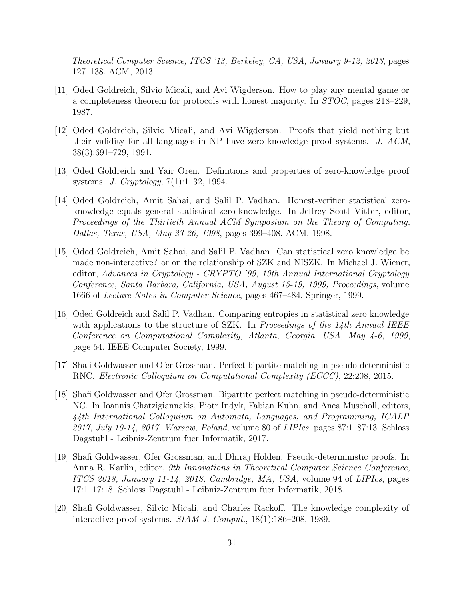Theoretical Computer Science, ITCS '13, Berkeley, CA, USA, January 9-12, 2013, pages 127–138. ACM, 2013.

- <span id="page-30-4"></span>[11] Oded Goldreich, Silvio Micali, and Avi Wigderson. How to play any mental game or a completeness theorem for protocols with honest majority. In STOC, pages 218–229, 1987.
- <span id="page-30-1"></span>[12] Oded Goldreich, Silvio Micali, and Avi Wigderson. Proofs that yield nothing but their validity for all languages in NP have zero-knowledge proof systems. J. ACM, 38(3):691–729, 1991.
- <span id="page-30-7"></span>[13] Oded Goldreich and Yair Oren. Definitions and properties of zero-knowledge proof systems. J. Cryptology, 7(1):1–32, 1994.
- <span id="page-30-5"></span>[14] Oded Goldreich, Amit Sahai, and Salil P. Vadhan. Honest-verifier statistical zeroknowledge equals general statistical zero-knowledge. In Jeffrey Scott Vitter, editor, Proceedings of the Thirtieth Annual ACM Symposium on the Theory of Computing, Dallas, Texas, USA, May 23-26, 1998, pages 399–408. ACM, 1998.
- [15] Oded Goldreich, Amit Sahai, and Salil P. Vadhan. Can statistical zero knowledge be made non-interactive? or on the relationship of SZK and NISZK. In Michael J. Wiener, editor, Advances in Cryptology - CRYPTO '99, 19th Annual International Cryptology Conference, Santa Barbara, California, USA, August 15-19, 1999, Proceedings, volume 1666 of Lecture Notes in Computer Science, pages 467–484. Springer, 1999.
- <span id="page-30-6"></span>[16] Oded Goldreich and Salil P. Vadhan. Comparing entropies in statistical zero knowledge with applications to the structure of SZK. In Proceedings of the 14th Annual IEEE Conference on Computational Complexity, Atlanta, Georgia, USA, May 4-6, 1999, page 54. IEEE Computer Society, 1999.
- <span id="page-30-2"></span>[17] Shafi Goldwasser and Ofer Grossman. Perfect bipartite matching in pseudo-deterministic RNC. Electronic Colloquium on Computational Complexity (ECCC), 22:208, 2015.
- [18] Shafi Goldwasser and Ofer Grossman. Bipartite perfect matching in pseudo-deterministic NC. In Ioannis Chatzigiannakis, Piotr Indyk, Fabian Kuhn, and Anca Muscholl, editors, 44th International Colloquium on Automata, Languages, and Programming, ICALP  $2017$ , July  $10-14$ ,  $2017$ , Warsaw, Poland, volume 80 of LIPIcs, pages 87:1–87:13. Schloss Dagstuhl - Leibniz-Zentrum fuer Informatik, 2017.
- <span id="page-30-3"></span>[19] Shafi Goldwasser, Ofer Grossman, and Dhiraj Holden. Pseudo-deterministic proofs. In Anna R. Karlin, editor, 9th Innovations in Theoretical Computer Science Conference, ITCS 2018, January 11-14, 2018, Cambridge, MA, USA, volume 94 of LIPIcs, pages 17:1–17:18. Schloss Dagstuhl - Leibniz-Zentrum fuer Informatik, 2018.
- <span id="page-30-0"></span>[20] Shafi Goldwasser, Silvio Micali, and Charles Rackoff. The knowledge complexity of interactive proof systems. SIAM J. Comput., 18(1):186–208, 1989.